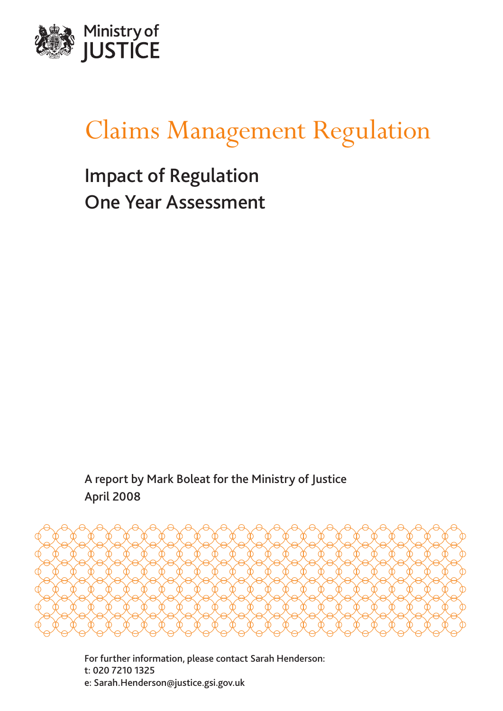

# Claims Management Regulation

Impact of Regulation One Year Assessment

A report by Mark Boleat for the Ministry of Justice April 2008



For further information, please contact Sarah Henderson: t: 020 7210 1325 e: Sarah.Henderson@justice.gsi.gov.uk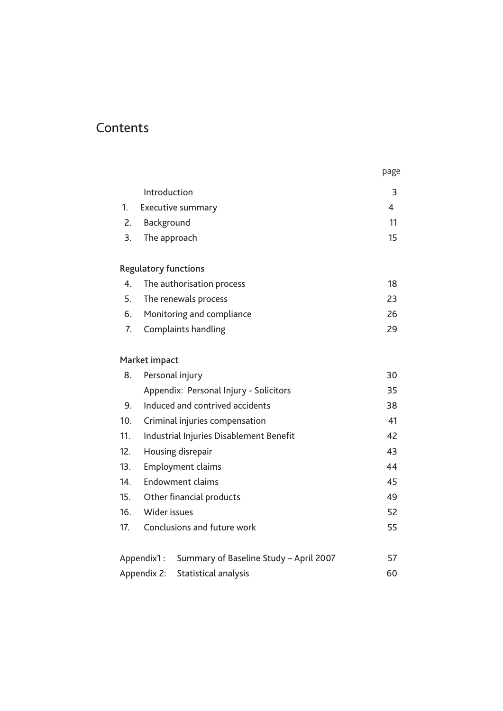# **Contents**

|    | Introduction                | 3  |
|----|-----------------------------|----|
| 1. | <b>Executive summary</b>    | 4  |
| 2. | Background                  | 11 |
| 3. | The approach                | 15 |
|    |                             |    |
|    | <b>Regulatory functions</b> |    |
| 4. | The authorisation process   | 18 |
| 5. | The renewals process        | 23 |
| 6. | Monitoring and compliance   | 26 |
| 7. | Complaints handling         | 29 |

page

# Market impact

| 8.                                                   | Personal injury                         |    |  |
|------------------------------------------------------|-----------------------------------------|----|--|
|                                                      | Appendix: Personal Injury - Solicitors  | 35 |  |
| 9.                                                   | Induced and contrived accidents         | 38 |  |
| 10.                                                  | Criminal injuries compensation          |    |  |
| 11.                                                  | Industrial Injuries Disablement Benefit |    |  |
| 12.                                                  | Housing disrepair                       |    |  |
| 13.                                                  | <b>Employment claims</b>                |    |  |
| 14.                                                  | Endowment claims                        |    |  |
| 15.                                                  | Other financial products                |    |  |
| 16.                                                  | Wider issues                            |    |  |
| 17.                                                  | Conclusions and future work             |    |  |
|                                                      |                                         |    |  |
| Summary of Baseline Study - April 2007<br>Appendix1: |                                         | 57 |  |
| Appendix 2: Statistical analysis                     |                                         | 60 |  |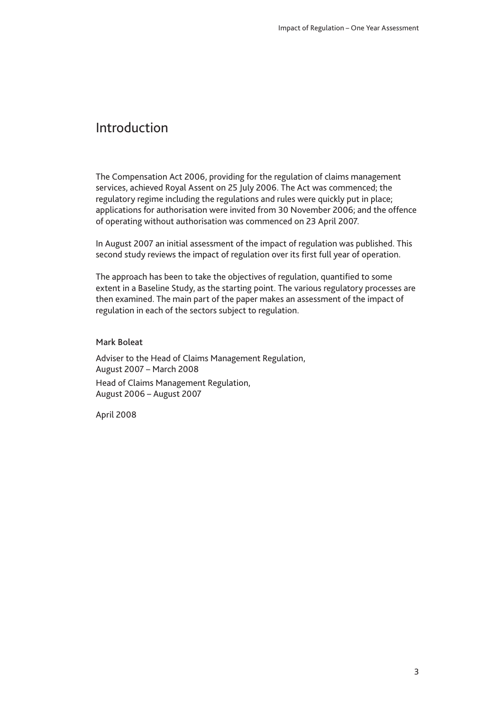# <span id="page-2-0"></span>Introduction

The Compensation Act 2006, providing for the regulation of claims management services, achieved Royal Assent on 25 July 2006. The Act was commenced; the regulatory regime including the regulations and rules were quickly put in place; applications for authorisation were invited from 30 November 2006; and the offence of operating without authorisation was commenced on 23 April 2007.

In August 2007 an initial assessment of the impact of regulation was published. This second study reviews the impact of regulation over its first full year of operation.

The approach has been to take the objectives of regulation, quantified to some extent in a Baseline Study, as the starting point. The various regulatory processes are then examined. The main part of the paper makes an assessment of the impact of regulation in each of the sectors subject to regulation.

#### Mark Boleat

Adviser to the Head of Claims Management Regulation, August 2007 – March 2008 Head of Claims Management Regulation, August 2006 – August 2007

April 2008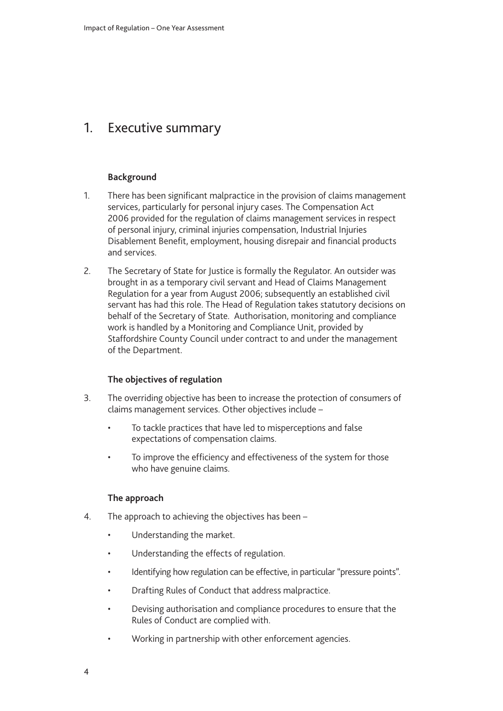# <span id="page-3-0"></span>1. Executive summary

### **Background**

- 1. There has been significant malpractice in the provision of claims management services, particularly for personal injury cases. The Compensation Act 2006 provided for the regulation of claims management services in respect of personal injury, criminal injuries compensation, Industrial Injuries Disablement Benefit, employment, housing disrepair and financial products and services.
- 2. The Secretary of State for Justice is formally the Regulator. An outsider was brought in as a temporary civil servant and Head of Claims Management Regulation for a year from August 2006; subsequently an established civil servant has had this role. The Head of Regulation takes statutory decisions on behalf of the Secretary of State. Authorisation, monitoring and compliance work is handled by a Monitoring and Compliance Unit, provided by Staffordshire County Council under contract to and under the management of the Department.

#### **The objectives of regulation**

- 3. The overriding objective has been to increase the protection of consumers of claims management services. Other objectives include –
	- To tackle practices that have led to misperceptions and false expectations of compensation claims.
	- To improve the efficiency and effectiveness of the system for those who have genuine claims.

#### **The approach**

- 4. The approach to achieving the objectives has been
	- Understanding the market.
	- Understanding the effects of regulation.
	- Identifying how regulation can be effective, in particular "pressure points".
	- Drafting Rules of Conduct that address malpractice.
	- Devising authorisation and compliance procedures to ensure that the Rules of Conduct are complied with.
	- Working in partnership with other enforcement agencies.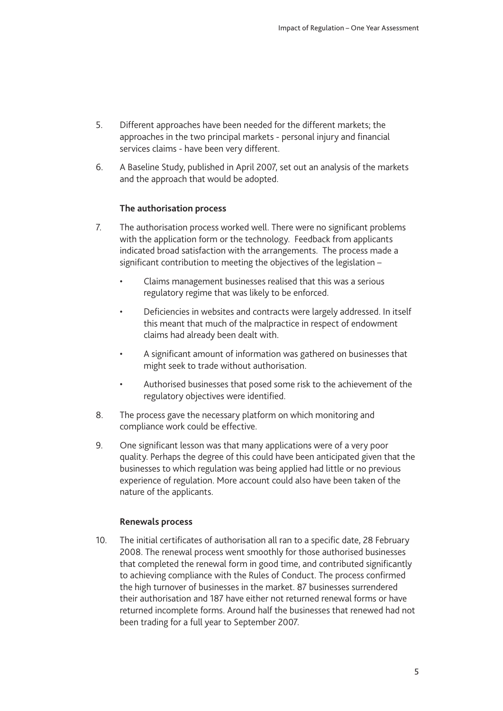- 5. Different approaches have been needed for the different markets; the approaches in the two principal markets - personal injury and financial services claims - have been very different.
- 6. A Baseline Study, published in April 2007, set out an analysis of the markets and the approach that would be adopted.

#### **The authorisation process**

- 7. The authorisation process worked well. There were no significant problems with the application form or the technology. Feedback from applicants indicated broad satisfaction with the arrangements. The process made a significant contribution to meeting the objectives of the legislation –
	- Claims management businesses realised that this was a serious regulatory regime that was likely to be enforced.
	- Deficiencies in websites and contracts were largely addressed. In itself this meant that much of the malpractice in respect of endowment claims had already been dealt with.
	- A significant amount of information was gathered on businesses that might seek to trade without authorisation.
	- Authorised businesses that posed some risk to the achievement of the regulatory objectives were identified.
- 8. The process gave the necessary platform on which monitoring and compliance work could be effective.
- 9. One significant lesson was that many applications were of a very poor quality. Perhaps the degree of this could have been anticipated given that the businesses to which regulation was being applied had little or no previous experience of regulation. More account could also have been taken of the nature of the applicants.

#### **Renewals process**

10. The initial certificates of authorisation all ran to a specific date, 28 February 2008. The renewal process went smoothly for those authorised businesses that completed the renewal form in good time, and contributed significantly to achieving compliance with the Rules of Conduct. The process confirmed the high turnover of businesses in the market. 87 businesses surrendered their authorisation and 187 have either not returned renewal forms or have returned incomplete forms. Around half the businesses that renewed had not been trading for a full year to September 2007.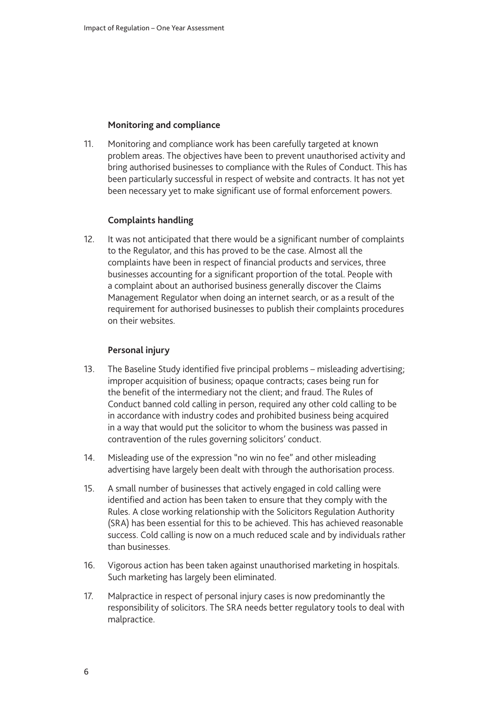#### **Monitoring and compliance**

11. Monitoring and compliance work has been carefully targeted at known problem areas. The objectives have been to prevent unauthorised activity and bring authorised businesses to compliance with the Rules of Conduct. This has been particularly successful in respect of website and contracts. It has not yet been necessary yet to make significant use of formal enforcement powers.

### **Complaints handling**

12. It was not anticipated that there would be a significant number of complaints to the Regulator, and this has proved to be the case. Almost all the complaints have been in respect of financial products and services, three businesses accounting for a significant proportion of the total. People with a complaint about an authorised business generally discover the Claims Management Regulator when doing an internet search, or as a result of the requirement for authorised businesses to publish their complaints procedures on their websites.

### **Personal injury**

- 13. The Baseline Study identified five principal problems misleading advertising; improper acquisition of business; opaque contracts; cases being run for the benefit of the intermediary not the client; and fraud. The Rules of Conduct banned cold calling in person, required any other cold calling to be in accordance with industry codes and prohibited business being acquired in a way that would put the solicitor to whom the business was passed in contravention of the rules governing solicitors' conduct.
- 14. Misleading use of the expression "no win no fee" and other misleading advertising have largely been dealt with through the authorisation process.
- 15. A small number of businesses that actively engaged in cold calling were identified and action has been taken to ensure that they comply with the Rules. A close working relationship with the Solicitors Regulation Authority (SRA) has been essential for this to be achieved. This has achieved reasonable success. Cold calling is now on a much reduced scale and by individuals rather than businesses.
- 16. Vigorous action has been taken against unauthorised marketing in hospitals. Such marketing has largely been eliminated.
- 17. Malpractice in respect of personal injury cases is now predominantly the responsibility of solicitors. The SRA needs better regulatory tools to deal with malpractice.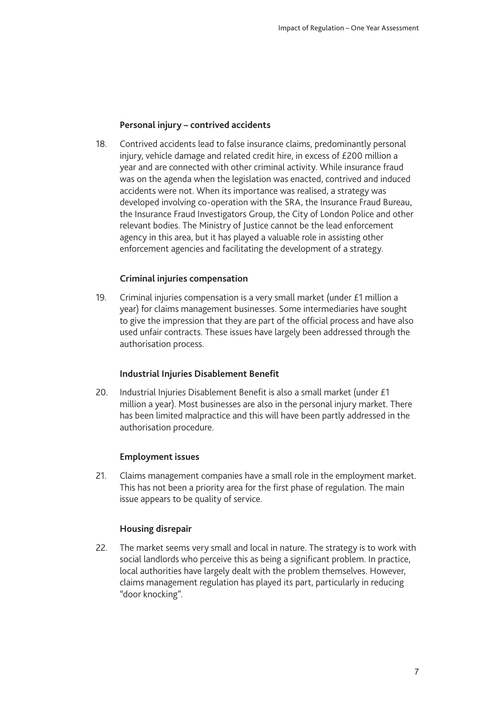### **Personal injury – contrived accidents**

18. Contrived accidents lead to false insurance claims, predominantly personal injury, vehicle damage and related credit hire, in excess of £200 million a year and are connected with other criminal activity. While insurance fraud was on the agenda when the legislation was enacted, contrived and induced accidents were not. When its importance was realised, a strategy was developed involving co-operation with the SRA, the Insurance Fraud Bureau, the Insurance Fraud Investigators Group, the City of London Police and other relevant bodies. The Ministry of Justice cannot be the lead enforcement agency in this area, but it has played a valuable role in assisting other enforcement agencies and facilitating the development of a strategy.

### **Criminal injuries compensation**

19. Criminal injuries compensation is a very small market (under £1 million a year) for claims management businesses. Some intermediaries have sought to give the impression that they are part of the official process and have also used unfair contracts. These issues have largely been addressed through the authorisation process.

### **Industrial Injuries Disablement Benefit**

20. Industrial Injuries Disablement Benefit is also a small market (under £1 million a year). Most businesses are also in the personal injury market. There has been limited malpractice and this will have been partly addressed in the authorisation procedure.

### **Employment issues**

21. Claims management companies have a small role in the employment market. This has not been a priority area for the first phase of regulation. The main issue appears to be quality of service.

#### **Housing disrepair**

22. The market seems very small and local in nature. The strategy is to work with social landlords who perceive this as being a significant problem. In practice, local authorities have largely dealt with the problem themselves. However, claims management regulation has played its part, particularly in reducing "door knocking".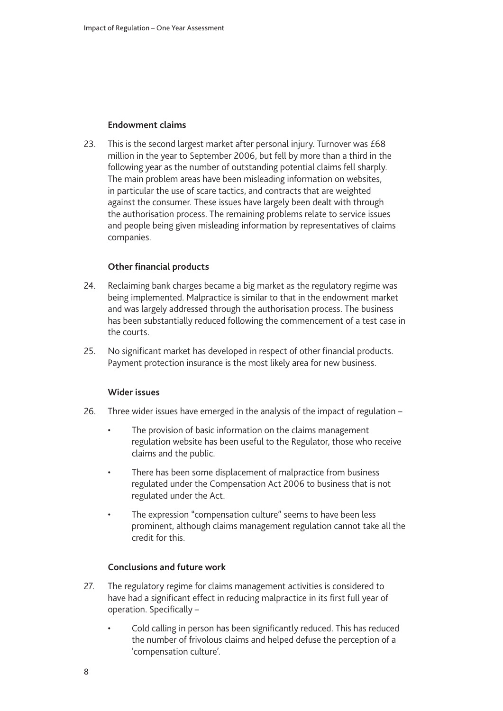### **Endowment claims**

23. This is the second largest market after personal injury. Turnover was £68 million in the year to September 2006, but fell by more than a third in the following year as the number of outstanding potential claims fell sharply. The main problem areas have been misleading information on websites, in particular the use of scare tactics, and contracts that are weighted against the consumer. These issues have largely been dealt with through the authorisation process. The remaining problems relate to service issues and people being given misleading information by representatives of claims companies.

### **Other financial products**

- 24. Reclaiming bank charges became a big market as the regulatory regime was being implemented. Malpractice is similar to that in the endowment market and was largely addressed through the authorisation process. The business has been substantially reduced following the commencement of a test case in the courts.
- 25. No significant market has developed in respect of other financial products. Payment protection insurance is the most likely area for new business.

#### **Wider issues**

- 26. Three wider issues have emerged in the analysis of the impact of regulation
	- The provision of basic information on the claims management regulation website has been useful to the Regulator, those who receive claims and the public.
	- There has been some displacement of malpractice from business regulated under the Compensation Act 2006 to business that is not regulated under the Act.
	- The expression "compensation culture" seems to have been less prominent, although claims management regulation cannot take all the credit for this.

#### **Conclusions and future work**

- 27. The regulatory regime for claims management activities is considered to have had a significant effect in reducing malpractice in its first full year of operation. Specifically –
	- Cold calling in person has been significantly reduced. This has reduced the number of frivolous claims and helped defuse the perception of a 'compensation culture'.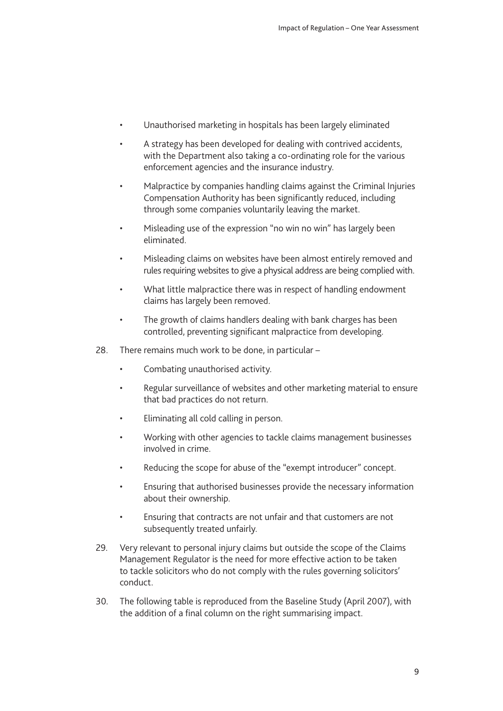- Unauthorised marketing in hospitals has been largely eliminated
- A strategy has been developed for dealing with contrived accidents, with the Department also taking a co-ordinating role for the various enforcement agencies and the insurance industry.
- Malpractice by companies handling claims against the Criminal Injuries Compensation Authority has been significantly reduced, including through some companies voluntarily leaving the market.
- Misleading use of the expression "no win no win" has largely been eliminated.
- Misleading claims on websites have been almost entirely removed and rules requiring websites to give a physical address are being complied with.
- What little malpractice there was in respect of handling endowment claims has largely been removed.
- The growth of claims handlers dealing with bank charges has been controlled, preventing significant malpractice from developing.
- 28. There remains much work to be done, in particular
	- Combating unauthorised activity.
	- Regular surveillance of websites and other marketing material to ensure that bad practices do not return.
	- Eliminating all cold calling in person.
	- Working with other agencies to tackle claims management businesses involved in crime.
	- Reducing the scope for abuse of the "exempt introducer" concept.
	- Ensuring that authorised businesses provide the necessary information about their ownership.
	- Ensuring that contracts are not unfair and that customers are not subsequently treated unfairly.
- 29. Very relevant to personal injury claims but outside the scope of the Claims Management Regulator is the need for more effective action to be taken to tackle solicitors who do not comply with the rules governing solicitors' conduct.
- 30. The following table is reproduced from the Baseline Study (April 2007), with the addition of a final column on the right summarising impact.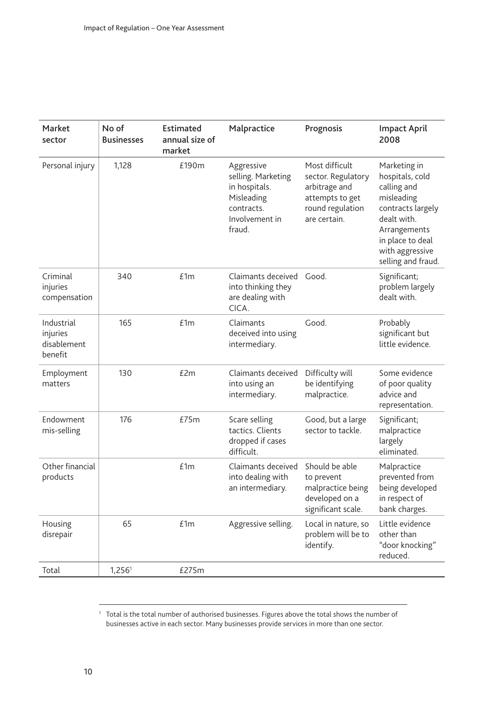| Market<br>sector                                 | No of<br><b>Businesses</b> | Estimated<br>annual size of<br>market | Malpractice                                                                                               | Prognosis                                                                                                    | <b>Impact April</b><br>2008                                                                                                                                                   |
|--------------------------------------------------|----------------------------|---------------------------------------|-----------------------------------------------------------------------------------------------------------|--------------------------------------------------------------------------------------------------------------|-------------------------------------------------------------------------------------------------------------------------------------------------------------------------------|
| Personal injury                                  | 1,128                      | £190m                                 | Aggressive<br>selling. Marketing<br>in hospitals.<br>Misleading<br>contracts.<br>Involvement in<br>fraud. | Most difficult<br>sector. Regulatory<br>arbitrage and<br>attempts to get<br>round regulation<br>are certain. | Marketing in<br>hospitals, cold<br>calling and<br>misleading<br>contracts largely<br>dealt with.<br>Arrangements<br>in place to deal<br>with aggressive<br>selling and fraud. |
| Criminal<br>injuries<br>compensation             | 340                        | £1m                                   | Claimants deceived<br>into thinking they<br>are dealing with<br>CICA.                                     | Good.                                                                                                        | Significant;<br>problem largely<br>dealt with.                                                                                                                                |
| Industrial<br>injuries<br>disablement<br>benefit | 165                        | £1m                                   | Claimants<br>deceived into using<br>intermediary.                                                         | Good.                                                                                                        | Probably<br>significant but<br>little evidence.                                                                                                                               |
| Employment<br>matters                            | 130                        | £2m                                   | Claimants deceived<br>into using an<br>intermediary.                                                      | Difficulty will<br>be identifying<br>malpractice.                                                            | Some evidence<br>of poor quality<br>advice and<br>representation.                                                                                                             |
| Endowment<br>mis-selling                         | 176                        | £75m                                  | Scare selling<br>tactics. Clients<br>dropped if cases<br>difficult.                                       | Good, but a large<br>sector to tackle.                                                                       | Significant;<br>malpractice<br>largely<br>eliminated.                                                                                                                         |
| Other financial<br>products                      |                            | £1m                                   | Claimants deceived<br>into dealing with<br>an intermediary.                                               | Should be able<br>to prevent<br>malpractice being<br>developed on a<br>significant scale.                    | Malpractice<br>prevented from<br>being developed<br>in respect of<br>bank charges.                                                                                            |
| Housing<br>disrepair                             | 65                         | £1m                                   | Aggressive selling.                                                                                       | Local in nature, so<br>problem will be to<br>identify.                                                       | Little evidence<br>other than<br>"door knocking"<br>reduced.                                                                                                                  |
| Total                                            | 1,256 <sup>1</sup>         | £275m                                 |                                                                                                           |                                                                                                              |                                                                                                                                                                               |

 $^1$  Total is the total number of authorised businesses. Figures above the total shows the number of businesses active in each sector. Many businesses provide services in more than one sector.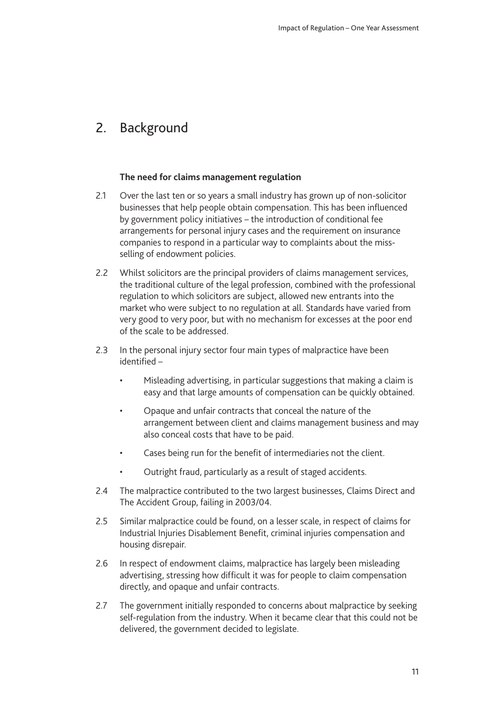# <span id="page-10-0"></span>2. Background

### **The need for claims management regulation**

- 2.1 Over the last ten or so years a small industry has grown up of non-solicitor businesses that help people obtain compensation. This has been influenced by government policy initiatives – the introduction of conditional fee arrangements for personal injury cases and the requirement on insurance companies to respond in a particular way to complaints about the missselling of endowment policies.
- 2.2 Whilst solicitors are the principal providers of claims management services, the traditional culture of the legal profession, combined with the professional regulation to which solicitors are subject, allowed new entrants into the market who were subject to no regulation at all. Standards have varied from very good to very poor, but with no mechanism for excesses at the poor end of the scale to be addressed.
- 2.3 In the personal injury sector four main types of malpractice have been identified –
	- Misleading advertising, in particular suggestions that making a claim is easy and that large amounts of compensation can be quickly obtained.
	- Opaque and unfair contracts that conceal the nature of the arrangement between client and claims management business and may also conceal costs that have to be paid.
	- Cases being run for the benefit of intermediaries not the client.
	- Outright fraud, particularly as a result of staged accidents.
- 2.4 The malpractice contributed to the two largest businesses, Claims Direct and The Accident Group, failing in 2003/04.
- 2.5 Similar malpractice could be found, on a lesser scale, in respect of claims for Industrial Injuries Disablement Benefit, criminal injuries compensation and housing disrepair.
- 2.6 In respect of endowment claims, malpractice has largely been misleading advertising, stressing how difficult it was for people to claim compensation directly, and opaque and unfair contracts.
- 2.7 The government initially responded to concerns about malpractice by seeking self-regulation from the industry. When it became clear that this could not be delivered, the government decided to legislate.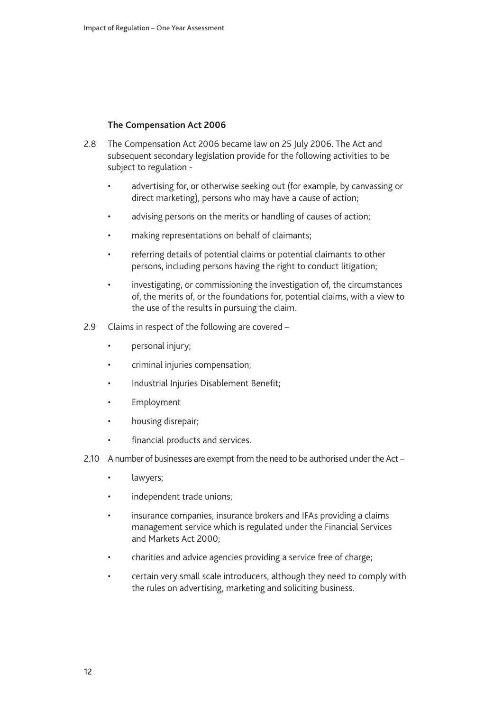#### **The Compensation Act 2006**

- 2.8 The Compensation Act 2006 became law on 25 July 2006. The Act and subsequent secondary legislation provide for the following activities to be subject to regulation
	- advertising for, or otherwise seeking out (for example, by canvassing or direct marketing), persons who may have a cause of action;
	- advising persons on the merits or handling of causes of action;
	- making representations on behalf of claimants;
	- referring details of potential claims or potential claimants to other persons, including persons having the right to conduct litigation;
	- investigating, or commissioning the investigation of, the circumstances of, the merits of, or the foundations for, potential claims, with a view to the use of the results in pursuing the claim.
- 2.9 Claims in respect of the following are covered
	- personal injury;
	- criminal injuries compensation;
	- Industrial Injuries Disablement Benefit;
	- Employment
	- housing disrepair;
	- financial products and services.
- 2.10 A number of businesses are exempt from the need to be authorised under the Act
	- lawyers;
	- independent trade unions;
	- insurance companies, insurance brokers and IFAs providing a claims management service which is regulated under the Financial Services and Markets Act 2000;
	- charities and advice agencies providing a service free of charge;
	- certain very small scale introducers, although they need to comply with the rules on advertising, marketing and soliciting business.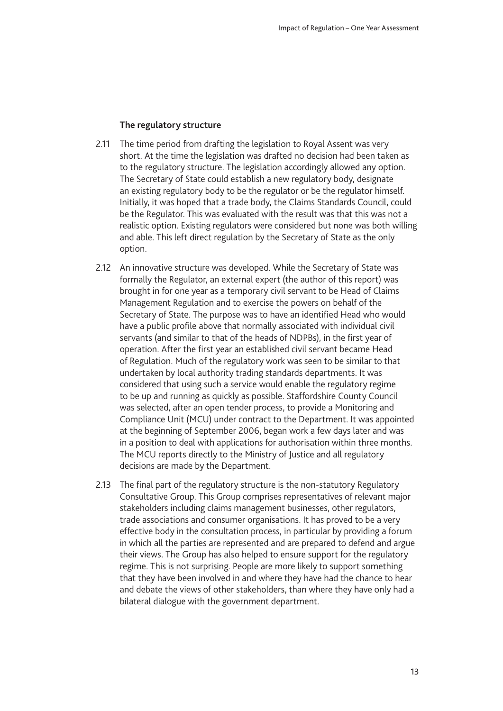#### **The regulatory structure**

- 2.11 The time period from drafting the legislation to Royal Assent was very short. At the time the legislation was drafted no decision had been taken as to the regulatory structure. The legislation accordingly allowed any option. The Secretary of State could establish a new regulatory body, designate an existing regulatory body to be the regulator or be the regulator himself. Initially, it was hoped that a trade body, the Claims Standards Council, could be the Regulator. This was evaluated with the result was that this was not a realistic option. Existing regulators were considered but none was both willing and able. This left direct regulation by the Secretary of State as the only option.
- 2.12 An innovative structure was developed. While the Secretary of State was formally the Regulator, an external expert (the author of this report) was brought in for one year as a temporary civil servant to be Head of Claims Management Regulation and to exercise the powers on behalf of the Secretary of State. The purpose was to have an identified Head who would have a public profile above that normally associated with individual civil servants (and similar to that of the heads of NDPBs), in the first year of operation. After the first year an established civil servant became Head of Regulation. Much of the regulatory work was seen to be similar to that undertaken by local authority trading standards departments. It was considered that using such a service would enable the regulatory regime to be up and running as quickly as possible. Staffordshire County Council was selected, after an open tender process, to provide a Monitoring and Compliance Unit (MCU) under contract to the Department. It was appointed at the beginning of September 2006, began work a few days later and was in a position to deal with applications for authorisation within three months. The MCU reports directly to the Ministry of Justice and all regulatory decisions are made by the Department.
- 2.13 The final part of the regulatory structure is the non-statutory Regulatory Consultative Group. This Group comprises representatives of relevant major stakeholders including claims management businesses, other regulators, trade associations and consumer organisations. It has proved to be a very effective body in the consultation process, in particular by providing a forum in which all the parties are represented and are prepared to defend and argue their views. The Group has also helped to ensure support for the regulatory regime. This is not surprising. People are more likely to support something that they have been involved in and where they have had the chance to hear and debate the views of other stakeholders, than where they have only had a bilateral dialogue with the government department.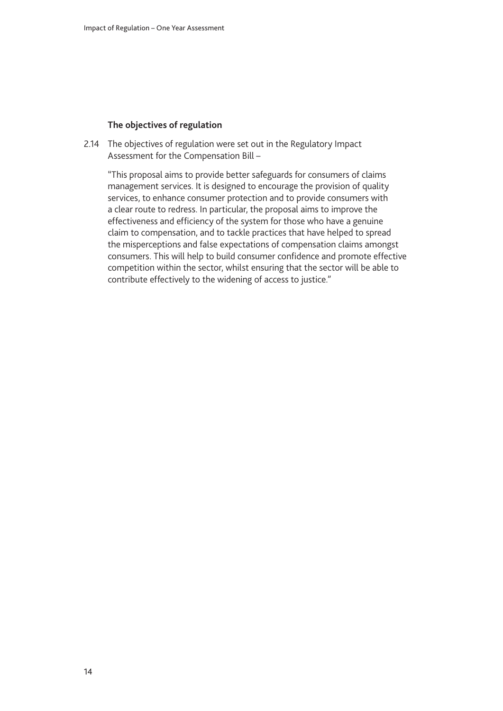#### **The objectives of regulation**

2.14 The objectives of regulation were set out in the Regulatory Impact Assessment for the Compensation Bill –

"This proposal aims to provide better safeguards for consumers of claims management services. It is designed to encourage the provision of quality services, to enhance consumer protection and to provide consumers with a clear route to redress. In particular, the proposal aims to improve the effectiveness and efficiency of the system for those who have a genuine claim to compensation, and to tackle practices that have helped to spread the misperceptions and false expectations of compensation claims amongst consumers. This will help to build consumer confidence and promote effective competition within the sector, whilst ensuring that the sector will be able to contribute effectively to the widening of access to justice."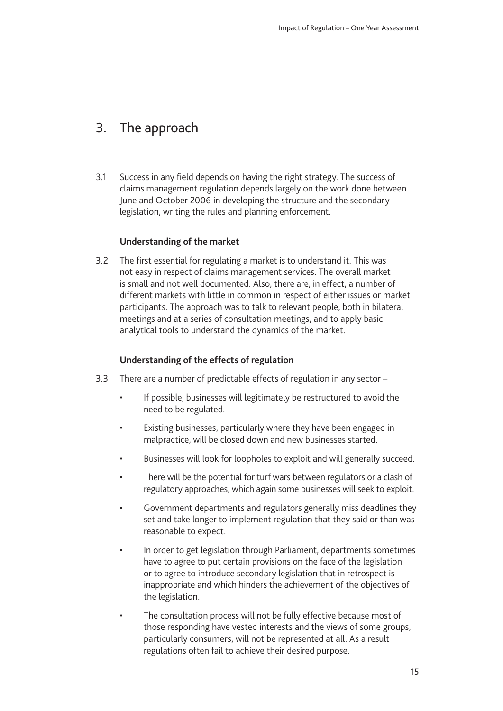# <span id="page-14-0"></span>3. The approach

3.1 Success in any field depends on having the right strategy. The success of claims management regulation depends largely on the work done between June and October 2006 in developing the structure and the secondary legislation, writing the rules and planning enforcement.

### **Understanding of the market**

3.2 The first essential for regulating a market is to understand it. This was not easy in respect of claims management services. The overall market is small and not well documented. Also, there are, in effect, a number of different markets with little in common in respect of either issues or market participants. The approach was to talk to relevant people, both in bilateral meetings and at a series of consultation meetings, and to apply basic analytical tools to understand the dynamics of the market.

### **Understanding of the effects of regulation**

- 3.3 There are a number of predictable effects of regulation in any sector
	- If possible, businesses will legitimately be restructured to avoid the need to be regulated.
	- Existing businesses, particularly where they have been engaged in malpractice, will be closed down and new businesses started.
	- Businesses will look for loopholes to exploit and will generally succeed.
	- There will be the potential for turf wars between regulators or a clash of regulatory approaches, which again some businesses will seek to exploit.
	- Government departments and regulators generally miss deadlines they set and take longer to implement regulation that they said or than was reasonable to expect.
	- In order to get legislation through Parliament, departments sometimes have to agree to put certain provisions on the face of the legislation or to agree to introduce secondary legislation that in retrospect is inappropriate and which hinders the achievement of the objectives of the legislation.
	- The consultation process will not be fully effective because most of those responding have vested interests and the views of some groups, particularly consumers, will not be represented at all. As a result regulations often fail to achieve their desired purpose.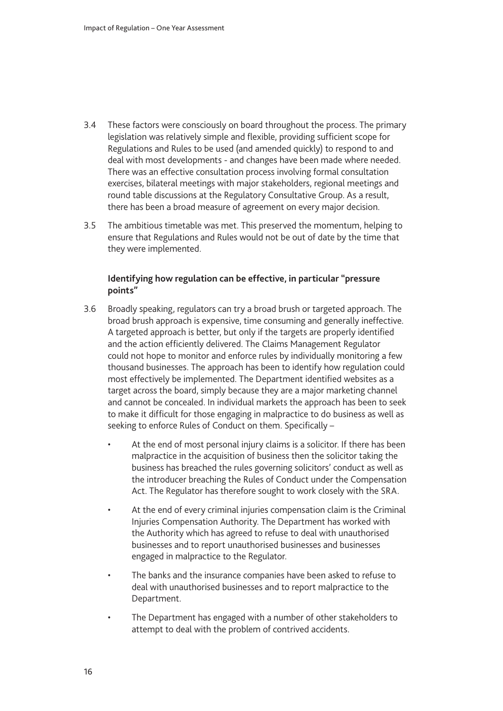- 3.4 These factors were consciously on board throughout the process. The primary legislation was relatively simple and flexible, providing sufficient scope for Regulations and Rules to be used (and amended quickly) to respond to and deal with most developments - and changes have been made where needed. There was an effective consultation process involving formal consultation exercises, bilateral meetings with major stakeholders, regional meetings and round table discussions at the Regulatory Consultative Group. As a result, there has been a broad measure of agreement on every major decision.
- 3.5 The ambitious timetable was met. This preserved the momentum, helping to ensure that Regulations and Rules would not be out of date by the time that they were implemented.

### **Identifying how regulation can be effective, in particular "pressure points"**

- 3.6 Broadly speaking, regulators can try a broad brush or targeted approach. The broad brush approach is expensive, time consuming and generally ineffective. A targeted approach is better, but only if the targets are properly identified and the action efficiently delivered. The Claims Management Regulator could not hope to monitor and enforce rules by individually monitoring a few thousand businesses. The approach has been to identify how regulation could most effectively be implemented. The Department identified websites as a target across the board, simply because they are a major marketing channel and cannot be concealed. In individual markets the approach has been to seek to make it difficult for those engaging in malpractice to do business as well as seeking to enforce Rules of Conduct on them. Specifically –
	- At the end of most personal injury claims is a solicitor. If there has been malpractice in the acquisition of business then the solicitor taking the business has breached the rules governing solicitors' conduct as well as the introducer breaching the Rules of Conduct under the Compensation Act. The Regulator has therefore sought to work closely with the SRA.
	- At the end of every criminal injuries compensation claim is the Criminal Injuries Compensation Authority. The Department has worked with the Authority which has agreed to refuse to deal with unauthorised businesses and to report unauthorised businesses and businesses engaged in malpractice to the Regulator.
	- The banks and the insurance companies have been asked to refuse to deal with unauthorised businesses and to report malpractice to the Department.
	- The Department has engaged with a number of other stakeholders to attempt to deal with the problem of contrived accidents.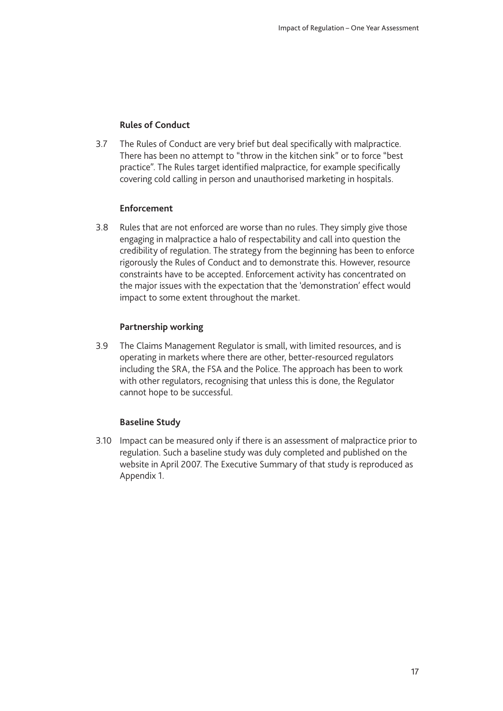### **Rules of Conduct**

3.7 The Rules of Conduct are very brief but deal specifically with malpractice. There has been no attempt to "throw in the kitchen sink" or to force "best practice". The Rules target identified malpractice, for example specifically covering cold calling in person and unauthorised marketing in hospitals.

#### **Enforcement**

3.8 Rules that are not enforced are worse than no rules. They simply give those engaging in malpractice a halo of respectability and call into question the credibility of regulation. The strategy from the beginning has been to enforce rigorously the Rules of Conduct and to demonstrate this. However, resource constraints have to be accepted. Enforcement activity has concentrated on the major issues with the expectation that the 'demonstration' effect would impact to some extent throughout the market.

### **Partnership working**

3.9 The Claims Management Regulator is small, with limited resources, and is operating in markets where there are other, better-resourced regulators including the SRA, the FSA and the Police. The approach has been to work with other regulators, recognising that unless this is done, the Regulator cannot hope to be successful.

#### **Baseline Study**

3.10 Impact can be measured only if there is an assessment of malpractice prior to regulation. Such a baseline study was duly completed and published on the website in April 2007. The Executive Summary of that study is reproduced as Appendix 1.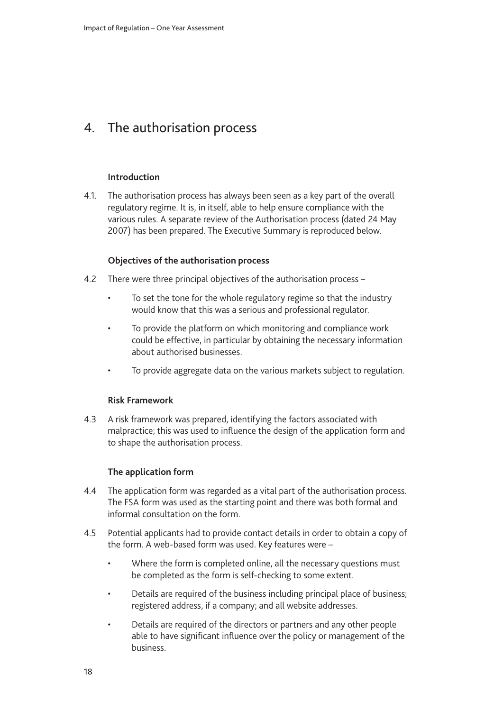# <span id="page-17-0"></span>4. The authorisation process

### **Introduction**

4.1. The authorisation process has always been seen as a key part of the overall regulatory regime. It is, in itself, able to help ensure compliance with the various rules. A separate review of the Authorisation process (dated 24 May 2007) has been prepared. The Executive Summary is reproduced below.

### **Objectives of the authorisation process**

- 4.2 There were three principal objectives of the authorisation process
	- To set the tone for the whole regulatory regime so that the industry would know that this was a serious and professional regulator.
	- To provide the platform on which monitoring and compliance work could be effective, in particular by obtaining the necessary information about authorised businesses.
	- To provide aggregate data on the various markets subject to regulation.

#### **Risk Framework**

4.3 A risk framework was prepared, identifying the factors associated with malpractice; this was used to influence the design of the application form and to shape the authorisation process.

### **The application form**

- 4.4 The application form was regarded as a vital part of the authorisation process. The FSA form was used as the starting point and there was both formal and informal consultation on the form.
- 4.5 Potential applicants had to provide contact details in order to obtain a copy of the form. A web-based form was used. Key features were –
	- Where the form is completed online, all the necessary questions must be completed as the form is self-checking to some extent.
	- Details are required of the business including principal place of business; registered address, if a company; and all website addresses.
	- Details are required of the directors or partners and any other people able to have significant influence over the policy or management of the business.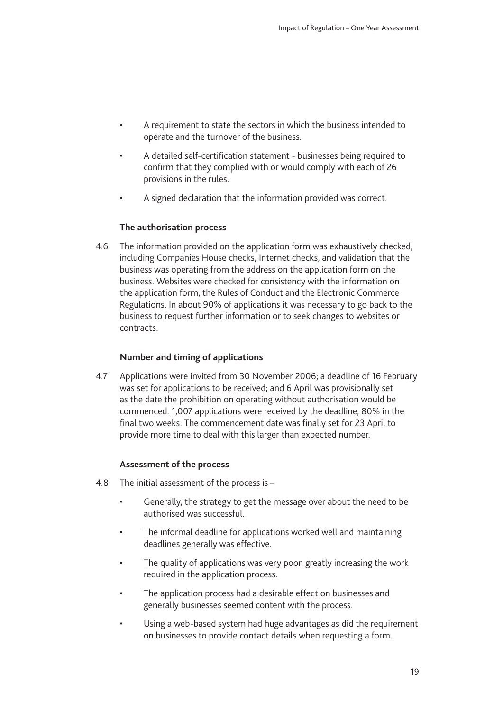- A requirement to state the sectors in which the business intended to operate and the turnover of the business.
- A detailed self-certification statement businesses being required to confirm that they complied with or would comply with each of 26 provisions in the rules.
- A signed declaration that the information provided was correct.

### **The authorisation process**

4.6 The information provided on the application form was exhaustively checked, including Companies House checks, Internet checks, and validation that the business was operating from the address on the application form on the business. Websites were checked for consistency with the information on the application form, the Rules of Conduct and the Electronic Commerce Regulations. In about 90% of applications it was necessary to go back to the business to request further information or to seek changes to websites or contracts.

### **Number and timing of applications**

4.7 Applications were invited from 30 November 2006; a deadline of 16 February was set for applications to be received; and 6 April was provisionally set as the date the prohibition on operating without authorisation would be commenced. 1,007 applications were received by the deadline, 80% in the final two weeks. The commencement date was finally set for 23 April to provide more time to deal with this larger than expected number.

#### **Assessment of the process**

- 4.8 The initial assessment of the process is
	- Generally, the strategy to get the message over about the need to be authorised was successful.
	- The informal deadline for applications worked well and maintaining deadlines generally was effective.
	- The quality of applications was very poor, greatly increasing the work required in the application process.
	- The application process had a desirable effect on businesses and generally businesses seemed content with the process.
	- Using a web-based system had huge advantages as did the requirement on businesses to provide contact details when requesting a form.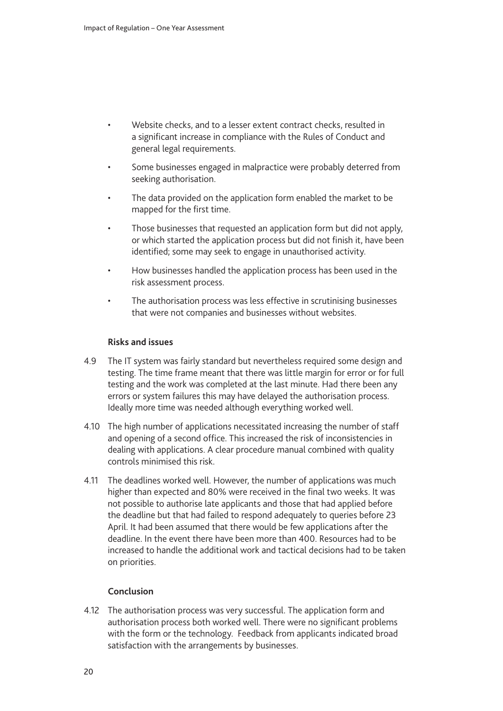- Website checks, and to a lesser extent contract checks, resulted in a significant increase in compliance with the Rules of Conduct and general legal requirements.
- Some businesses engaged in malpractice were probably deterred from seeking authorisation.
- The data provided on the application form enabled the market to be mapped for the first time.
- Those businesses that requested an application form but did not apply, or which started the application process but did not finish it, have been identified; some may seek to engage in unauthorised activity.
- How businesses handled the application process has been used in the risk assessment process.
- The authorisation process was less effective in scrutinising businesses that were not companies and businesses without websites.

#### **Risks and issues**

- 4.9 The IT system was fairly standard but nevertheless required some design and testing. The time frame meant that there was little margin for error or for full testing and the work was completed at the last minute. Had there been any errors or system failures this may have delayed the authorisation process. Ideally more time was needed although everything worked well.
- 4.10 The high number of applications necessitated increasing the number of staff and opening of a second office. This increased the risk of inconsistencies in dealing with applications. A clear procedure manual combined with quality controls minimised this risk.
- 4.11 The deadlines worked well. However, the number of applications was much higher than expected and 80% were received in the final two weeks. It was not possible to authorise late applicants and those that had applied before the deadline but that had failed to respond adequately to queries before 23 April. It had been assumed that there would be few applications after the deadline. In the event there have been more than 400. Resources had to be increased to handle the additional work and tactical decisions had to be taken on priorities.

#### **Conclusion**

4.12 The authorisation process was very successful. The application form and authorisation process both worked well. There were no significant problems with the form or the technology. Feedback from applicants indicated broad satisfaction with the arrangements by businesses.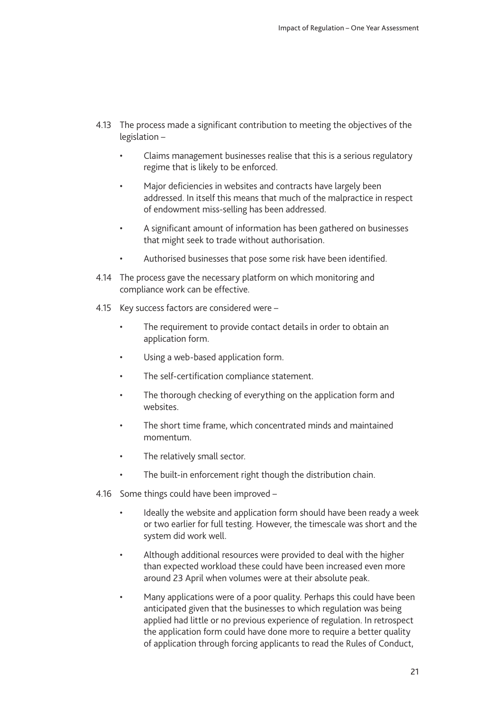- 4.13 The process made a significant contribution to meeting the objectives of the legislation –
	- Claims management businesses realise that this is a serious regulatory regime that is likely to be enforced.
	- Major deficiencies in websites and contracts have largely been addressed. In itself this means that much of the malpractice in respect of endowment miss-selling has been addressed.
	- A significant amount of information has been gathered on businesses that might seek to trade without authorisation.
	- Authorised businesses that pose some risk have been identified.
- 4.14 The process gave the necessary platform on which monitoring and compliance work can be effective.
- 4.15 Key success factors are considered were
	- The requirement to provide contact details in order to obtain an application form.
	- Using a web-based application form.
	- The self-certification compliance statement.
	- The thorough checking of everything on the application form and websites.
	- The short time frame, which concentrated minds and maintained momentum.
	- The relatively small sector.
	- The built-in enforcement right though the distribution chain.
- 4.16 Some things could have been improved
	- Ideally the website and application form should have been ready a week or two earlier for full testing. However, the timescale was short and the system did work well.
	- Although additional resources were provided to deal with the higher than expected workload these could have been increased even more around 23 April when volumes were at their absolute peak.
	- Many applications were of a poor quality. Perhaps this could have been anticipated given that the businesses to which regulation was being applied had little or no previous experience of regulation. In retrospect the application form could have done more to require a better quality of application through forcing applicants to read the Rules of Conduct,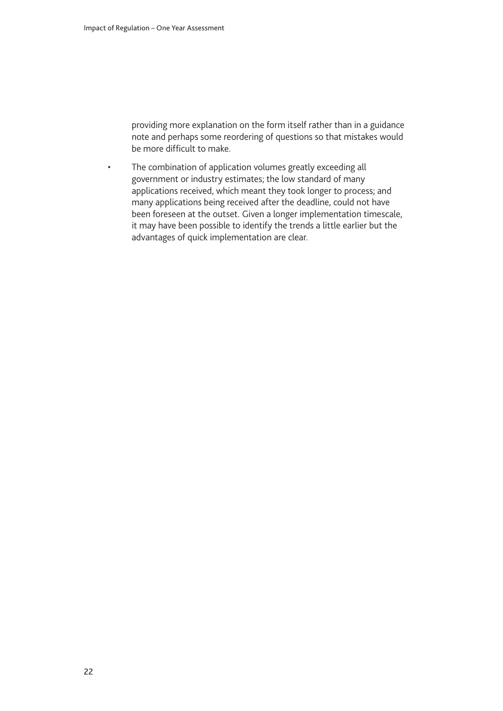providing more explanation on the form itself rather than in a guidance note and perhaps some reordering of questions so that mistakes would be more difficult to make.

• The combination of application volumes greatly exceeding all government or industry estimates; the low standard of many applications received, which meant they took longer to process; and many applications being received after the deadline, could not have been foreseen at the outset. Given a longer implementation timescale, it may have been possible to identify the trends a little earlier but the advantages of quick implementation are clear.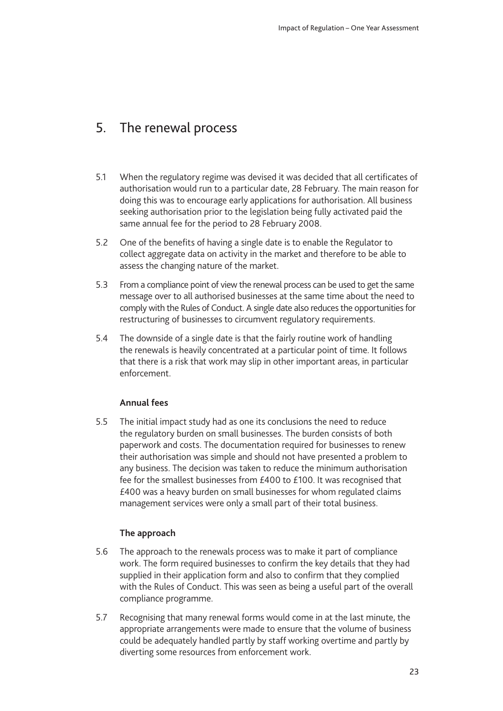# <span id="page-22-0"></span>5. The renewal process

- 5.1 When the regulatory regime was devised it was decided that all certificates of authorisation would run to a particular date, 28 February. The main reason for doing this was to encourage early applications for authorisation. All business seeking authorisation prior to the legislation being fully activated paid the same annual fee for the period to 28 February 2008.
- 5.2 One of the benefits of having a single date is to enable the Regulator to collect aggregate data on activity in the market and therefore to be able to assess the changing nature of the market.
- 5.3 From a compliance point of view the renewal process can be used to get the same message over to all authorised businesses at the same time about the need to comply with the Rules of Conduct. A single date also reduces the opportunities for restructuring of businesses to circumvent regulatory requirements.
- 5.4 The downside of a single date is that the fairly routine work of handling the renewals is heavily concentrated at a particular point of time. It follows that there is a risk that work may slip in other important areas, in particular enforcement.

### **Annual fees**

5.5 The initial impact study had as one its conclusions the need to reduce the regulatory burden on small businesses. The burden consists of both paperwork and costs. The documentation required for businesses to renew their authorisation was simple and should not have presented a problem to any business. The decision was taken to reduce the minimum authorisation fee for the smallest businesses from £400 to £100. It was recognised that £400 was a heavy burden on small businesses for whom regulated claims management services were only a small part of their total business.

### **The approach**

- 5.6 The approach to the renewals process was to make it part of compliance work. The form required businesses to confirm the key details that they had supplied in their application form and also to confirm that they complied with the Rules of Conduct. This was seen as being a useful part of the overall compliance programme.
- 5.7 Recognising that many renewal forms would come in at the last minute, the appropriate arrangements were made to ensure that the volume of business could be adequately handled partly by staff working overtime and partly by diverting some resources from enforcement work.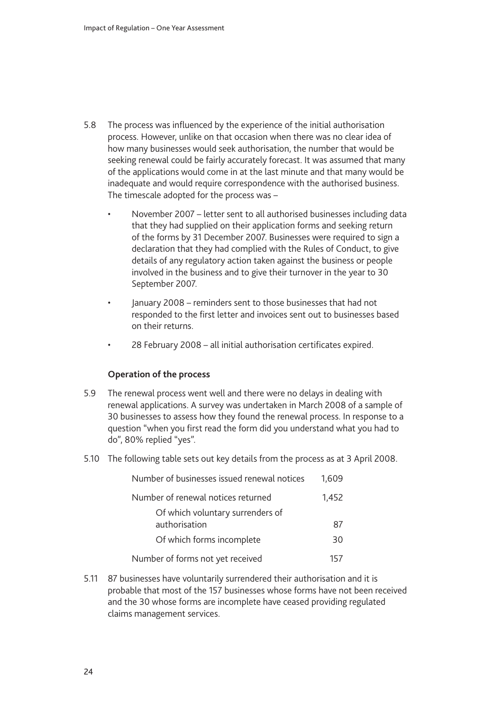- 5.8 The process was influenced by the experience of the initial authorisation process. However, unlike on that occasion when there was no clear idea of how many businesses would seek authorisation, the number that would be seeking renewal could be fairly accurately forecast. It was assumed that many of the applications would come in at the last minute and that many would be inadequate and would require correspondence with the authorised business. The timescale adopted for the process was –
	- November 2007 letter sent to all authorised businesses including data that they had supplied on their application forms and seeking return of the forms by 31 December 2007. Businesses were required to sign a declaration that they had complied with the Rules of Conduct, to give details of any regulatory action taken against the business or people involved in the business and to give their turnover in the year to 30 September 2007.
	- January 2008 reminders sent to those businesses that had not responded to the first letter and invoices sent out to businesses based on their returns.
	- 28 February 2008 all initial authorisation certificates expired.

#### **Operation of the process**

- 5.9 The renewal process went well and there were no delays in dealing with renewal applications. A survey was undertaken in March 2008 of a sample of 30 businesses to assess how they found the renewal process. In response to a question "when you first read the form did you understand what you had to do", 80% replied "yes".
- 5.10 The following table sets out key details from the process as at 3 April 2008.

| Number of businesses issued renewal notices       | 1.609 |  |  |
|---------------------------------------------------|-------|--|--|
| Number of renewal notices returned<br>1,452       |       |  |  |
| Of which voluntary surrenders of<br>authorisation | 87    |  |  |
| Of which forms incomplete                         | 30    |  |  |
| Number of forms not yet received<br>157           |       |  |  |

5.11 87 businesses have voluntarily surrendered their authorisation and it is probable that most of the 157 businesses whose forms have not been received and the 30 whose forms are incomplete have ceased providing regulated claims management services.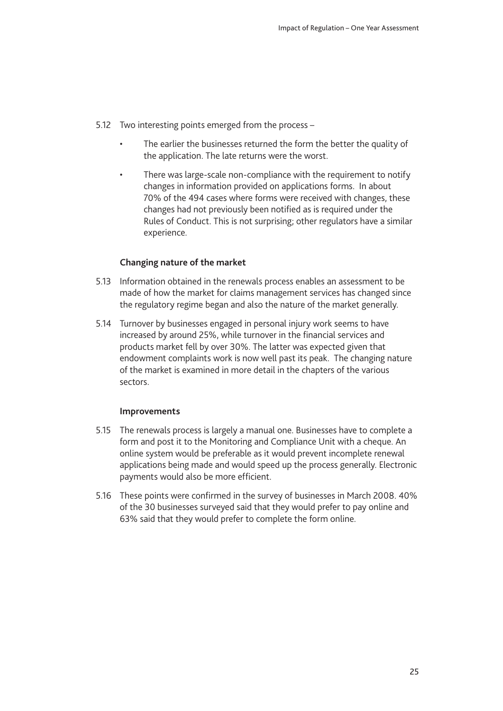- 5.12 Two interesting points emerged from the process
	- The earlier the businesses returned the form the better the quality of the application. The late returns were the worst.
	- There was large-scale non-compliance with the requirement to notify changes in information provided on applications forms. In about 70% of the 494 cases where forms were received with changes, these changes had not previously been notified as is required under the Rules of Conduct. This is not surprising; other regulators have a similar experience.

### **Changing nature of the market**

- 5.13 Information obtained in the renewals process enables an assessment to be made of how the market for claims management services has changed since the regulatory regime began and also the nature of the market generally.
- 5.14 Turnover by businesses engaged in personal injury work seems to have increased by around 25%, while turnover in the financial services and products market fell by over 30%. The latter was expected given that endowment complaints work is now well past its peak. The changing nature of the market is examined in more detail in the chapters of the various sectors.

#### **Improvements**

- 5.15 The renewals process is largely a manual one. Businesses have to complete a form and post it to the Monitoring and Compliance Unit with a cheque. An online system would be preferable as it would prevent incomplete renewal applications being made and would speed up the process generally. Electronic payments would also be more efficient.
- 5.16 These points were confirmed in the survey of businesses in March 2008. 40% of the 30 businesses surveyed said that they would prefer to pay online and 63% said that they would prefer to complete the form online.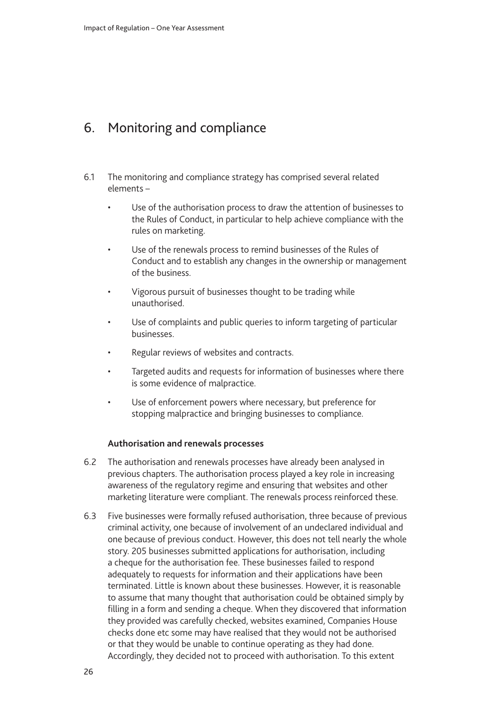# <span id="page-25-0"></span>6. Monitoring and compliance

- 6.1 The monitoring and compliance strategy has comprised several related elements –
	- Use of the authorisation process to draw the attention of businesses to the Rules of Conduct, in particular to help achieve compliance with the rules on marketing.
	- Use of the renewals process to remind businesses of the Rules of Conduct and to establish any changes in the ownership or management of the business.
	- Vigorous pursuit of businesses thought to be trading while unauthorised.
	- Use of complaints and public queries to inform targeting of particular businesses.
	- Regular reviews of websites and contracts.
	- Targeted audits and requests for information of businesses where there is some evidence of malpractice.
	- Use of enforcement powers where necessary, but preference for stopping malpractice and bringing businesses to compliance.

#### **Authorisation and renewals processes**

- 6.2 The authorisation and renewals processes have already been analysed in previous chapters. The authorisation process played a key role in increasing awareness of the regulatory regime and ensuring that websites and other marketing literature were compliant. The renewals process reinforced these.
- 6.3 Five businesses were formally refused authorisation, three because of previous criminal activity, one because of involvement of an undeclared individual and one because of previous conduct. However, this does not tell nearly the whole story. 205 businesses submitted applications for authorisation, including a cheque for the authorisation fee. These businesses failed to respond adequately to requests for information and their applications have been terminated. Little is known about these businesses. However, it is reasonable to assume that many thought that authorisation could be obtained simply by filling in a form and sending a cheque. When they discovered that information they provided was carefully checked, websites examined, Companies House checks done etc some may have realised that they would not be authorised or that they would be unable to continue operating as they had done. Accordingly, they decided not to proceed with authorisation. To this extent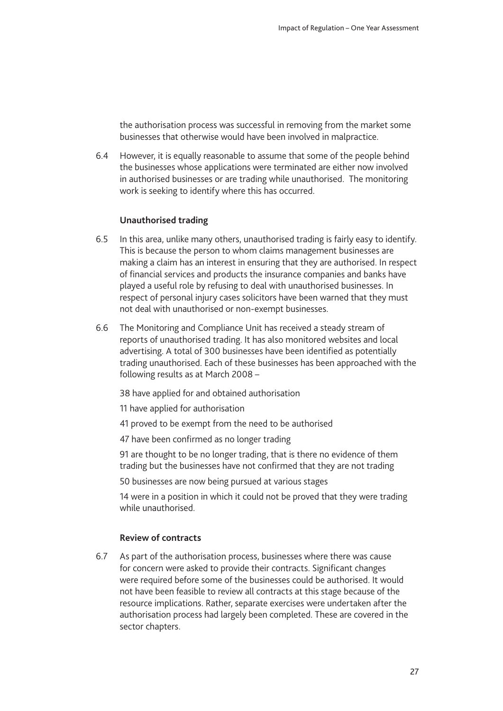the authorisation process was successful in removing from the market some businesses that otherwise would have been involved in malpractice.

6.4 However, it is equally reasonable to assume that some of the people behind the businesses whose applications were terminated are either now involved in authorised businesses or are trading while unauthorised. The monitoring work is seeking to identify where this has occurred.

#### **Unauthorised trading**

- 6.5 In this area, unlike many others, unauthorised trading is fairly easy to identify. This is because the person to whom claims management businesses are making a claim has an interest in ensuring that they are authorised. In respect of financial services and products the insurance companies and banks have played a useful role by refusing to deal with unauthorised businesses. In respect of personal injury cases solicitors have been warned that they must not deal with unauthorised or non-exempt businesses.
- 6.6 The Monitoring and Compliance Unit has received a steady stream of reports of unauthorised trading. It has also monitored websites and local advertising. A total of 300 businesses have been identified as potentially trading unauthorised. Each of these businesses has been approached with the following results as at March 2008 –

38 have applied for and obtained authorisation

11 have applied for authorisation

- 41 proved to be exempt from the need to be authorised
- 47 have been confirmed as no longer trading

91 are thought to be no longer trading, that is there no evidence of them trading but the businesses have not confirmed that they are not trading

50 businesses are now being pursued at various stages

14 were in a position in which it could not be proved that they were trading while unauthorised.

#### **Review of contracts**

6.7 As part of the authorisation process, businesses where there was cause for concern were asked to provide their contracts. Significant changes were required before some of the businesses could be authorised. It would not have been feasible to review all contracts at this stage because of the resource implications. Rather, separate exercises were undertaken after the authorisation process had largely been completed. These are covered in the sector chapters.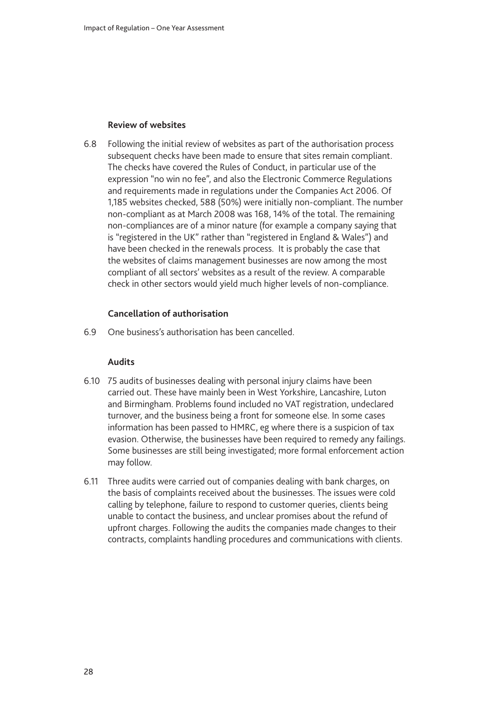#### **Review of websites**

6.8 Following the initial review of websites as part of the authorisation process subsequent checks have been made to ensure that sites remain compliant. The checks have covered the Rules of Conduct, in particular use of the expression "no win no fee", and also the Electronic Commerce Regulations and requirements made in regulations under the Companies Act 2006. Of 1,185 websites checked, 588 (50%) were initially non-compliant. The number non-compliant as at March 2008 was 168, 14% of the total. The remaining non-compliances are of a minor nature (for example a company saying that is "registered in the UK" rather than "registered in England & Wales") and have been checked in the renewals process. It is probably the case that the websites of claims management businesses are now among the most compliant of all sectors' websites as a result of the review. A comparable check in other sectors would yield much higher levels of non-compliance.

### **Cancellation of authorisation**

6.9 One business's authorisation has been cancelled.

#### **Audits**

- 6.10 75 audits of businesses dealing with personal injury claims have been carried out. These have mainly been in West Yorkshire, Lancashire, Luton and Birmingham. Problems found included no VAT registration, undeclared turnover, and the business being a front for someone else. In some cases information has been passed to HMRC, eg where there is a suspicion of tax evasion. Otherwise, the businesses have been required to remedy any failings. Some businesses are still being investigated; more formal enforcement action may follow.
- 6.11 Three audits were carried out of companies dealing with bank charges, on the basis of complaints received about the businesses. The issues were cold calling by telephone, failure to respond to customer queries, clients being unable to contact the business, and unclear promises about the refund of upfront charges. Following the audits the companies made changes to their contracts, complaints handling procedures and communications with clients.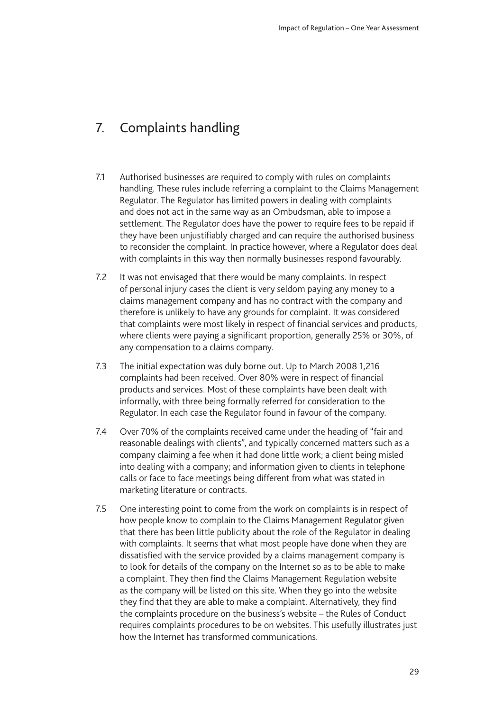# <span id="page-28-0"></span>7. Complaints handling

- 7.1 Authorised businesses are required to comply with rules on complaints handling. These rules include referring a complaint to the Claims Management Regulator. The Regulator has limited powers in dealing with complaints and does not act in the same way as an Ombudsman, able to impose a settlement. The Regulator does have the power to require fees to be repaid if they have been unjustifiably charged and can require the authorised business to reconsider the complaint. In practice however, where a Regulator does deal with complaints in this way then normally businesses respond favourably.
- 7.2 It was not envisaged that there would be many complaints. In respect of personal injury cases the client is very seldom paying any money to a claims management company and has no contract with the company and therefore is unlikely to have any grounds for complaint. It was considered that complaints were most likely in respect of financial services and products, where clients were paying a significant proportion, generally 25% or 30%, of any compensation to a claims company.
- 7.3 The initial expectation was duly borne out. Up to March 2008 1,216 complaints had been received. Over 80% were in respect of financial products and services. Most of these complaints have been dealt with informally, with three being formally referred for consideration to the Regulator. In each case the Regulator found in favour of the company.
- 7.4 Over 70% of the complaints received came under the heading of "fair and reasonable dealings with clients", and typically concerned matters such as a company claiming a fee when it had done little work; a client being misled into dealing with a company; and information given to clients in telephone calls or face to face meetings being different from what was stated in marketing literature or contracts.
- 7.5 One interesting point to come from the work on complaints is in respect of how people know to complain to the Claims Management Regulator given that there has been little publicity about the role of the Regulator in dealing with complaints. It seems that what most people have done when they are dissatisfied with the service provided by a claims management company is to look for details of the company on the Internet so as to be able to make a complaint. They then find the Claims Management Regulation website as the company will be listed on this site. When they go into the website they find that they are able to make a complaint. Alternatively, they find the complaints procedure on the business's website – the Rules of Conduct requires complaints procedures to be on websites. This usefully illustrates just how the Internet has transformed communications.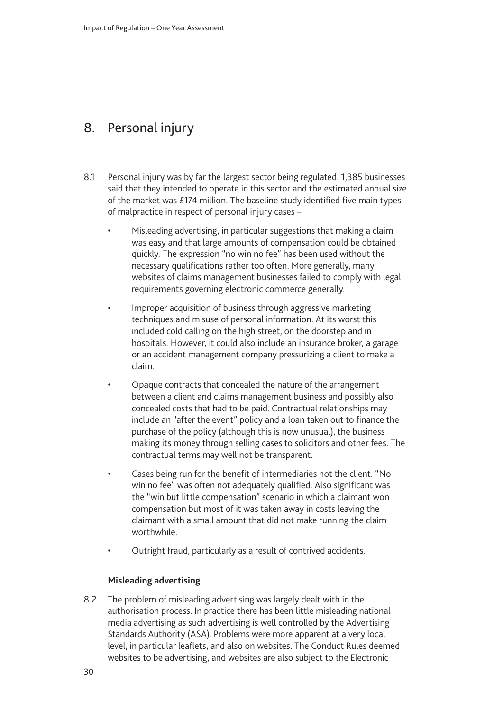# <span id="page-29-0"></span>8. Personal injury

- 8.1 Personal injury was by far the largest sector being regulated. 1,385 businesses said that they intended to operate in this sector and the estimated annual size of the market was £174 million. The baseline study identified five main types of malpractice in respect of personal injury cases –
	- Misleading advertising, in particular suggestions that making a claim was easy and that large amounts of compensation could be obtained quickly. The expression "no win no fee" has been used without the necessary qualifications rather too often. More generally, many websites of claims management businesses failed to comply with legal requirements governing electronic commerce generally.
	- Improper acquisition of business through aggressive marketing techniques and misuse of personal information. At its worst this included cold calling on the high street, on the doorstep and in hospitals. However, it could also include an insurance broker, a garage or an accident management company pressurizing a client to make a claim.
	- Opaque contracts that concealed the nature of the arrangement between a client and claims management business and possibly also concealed costs that had to be paid. Contractual relationships may include an "after the event" policy and a loan taken out to finance the purchase of the policy (although this is now unusual), the business making its money through selling cases to solicitors and other fees. The contractual terms may well not be transparent.
	- Cases being run for the benefit of intermediaries not the client. "No win no fee" was often not adequately qualified. Also significant was the "win but little compensation" scenario in which a claimant won compensation but most of it was taken away in costs leaving the claimant with a small amount that did not make running the claim worthwhile.
	- Outright fraud, particularly as a result of contrived accidents.

## **Misleading advertising**

8.2 The problem of misleading advertising was largely dealt with in the authorisation process. In practice there has been little misleading national media advertising as such advertising is well controlled by the Advertising Standards Authority (ASA). Problems were more apparent at a very local level, in particular leaflets, and also on websites. The Conduct Rules deemed websites to be advertising, and websites are also subject to the Electronic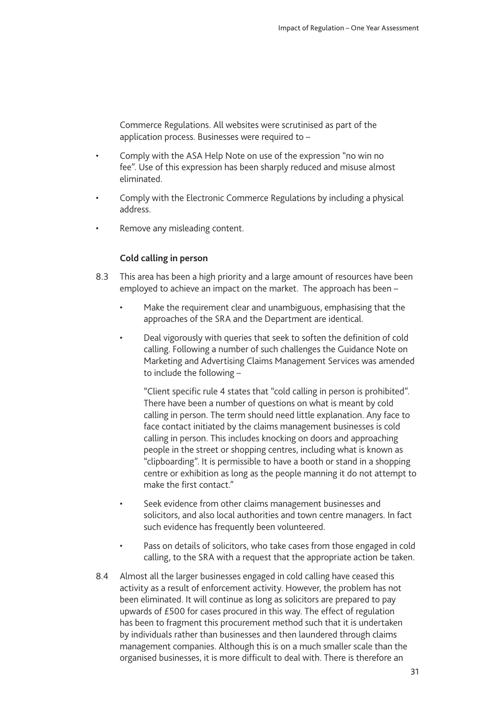Commerce Regulations. All websites were scrutinised as part of the application process. Businesses were required to –

- Comply with the ASA Help Note on use of the expression "no win no fee". Use of this expression has been sharply reduced and misuse almost eliminated.
- Comply with the Electronic Commerce Regulations by including a physical address.
- Remove any misleading content.

### **Cold calling in person**

- 8.3 This area has been a high priority and a large amount of resources have been employed to achieve an impact on the market. The approach has been –
	- Make the requirement clear and unambiguous, emphasising that the approaches of the SRA and the Department are identical.
	- Deal vigorously with queries that seek to soften the definition of cold calling. Following a number of such challenges the Guidance Note on Marketing and Advertising Claims Management Services was amended to include the following –

"Client specific rule 4 states that "cold calling in person is prohibited". There have been a number of questions on what is meant by cold calling in person. The term should need little explanation. Any face to face contact initiated by the claims management businesses is cold calling in person. This includes knocking on doors and approaching people in the street or shopping centres, including what is known as "clipboarding". It is permissible to have a booth or stand in a shopping centre or exhibition as long as the people manning it do not attempt to make the first contact."

- Seek evidence from other claims management businesses and solicitors, and also local authorities and town centre managers. In fact such evidence has frequently been volunteered.
- Pass on details of solicitors, who take cases from those engaged in cold calling, to the SRA with a request that the appropriate action be taken.
- 8.4 Almost all the larger businesses engaged in cold calling have ceased this activity as a result of enforcement activity. However, the problem has not been eliminated. It will continue as long as solicitors are prepared to pay upwards of £500 for cases procured in this way. The effect of regulation has been to fragment this procurement method such that it is undertaken by individuals rather than businesses and then laundered through claims management companies. Although this is on a much smaller scale than the organised businesses, it is more difficult to deal with. There is therefore an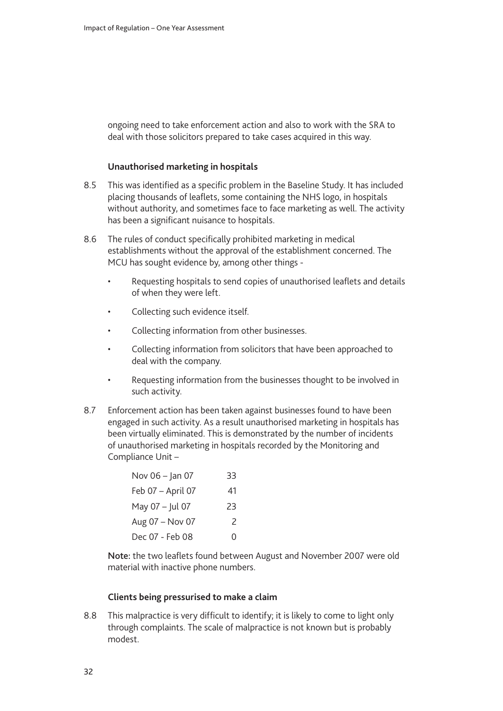ongoing need to take enforcement action and also to work with the SRA to deal with those solicitors prepared to take cases acquired in this way.

#### **Unauthorised marketing in hospitals**

- 8.5 This was identified as a specific problem in the Baseline Study. It has included placing thousands of leaflets, some containing the NHS logo, in hospitals without authority, and sometimes face to face marketing as well. The activity has been a significant nuisance to hospitals.
- 8.6 The rules of conduct specifically prohibited marketing in medical establishments without the approval of the establishment concerned. The MCU has sought evidence by, among other things -
	- Requesting hospitals to send copies of unauthorised leaflets and details of when they were left.
	- Collecting such evidence itself.
	- Collecting information from other businesses.
	- Collecting information from solicitors that have been approached to deal with the company.
	- Requesting information from the businesses thought to be involved in such activity.
- 8.7 Enforcement action has been taken against businesses found to have been engaged in such activity. As a result unauthorised marketing in hospitals has been virtually eliminated. This is demonstrated by the number of incidents of unauthorised marketing in hospitals recorded by the Monitoring and Compliance Unit –

| Nov 06 - Jan 07   | 33 |
|-------------------|----|
| Feb 07 - April 07 | 41 |
| May 07 - Jul 07   | 23 |
| Aug 07 - Nov 07   | 2  |
| Dec 07 - Feb 08   | Ω  |

Note: the two leaflets found between August and November 2007 were old material with inactive phone numbers.

#### **Clients being pressurised to make a claim**

8.8 This malpractice is very difficult to identify; it is likely to come to light only through complaints. The scale of malpractice is not known but is probably modest.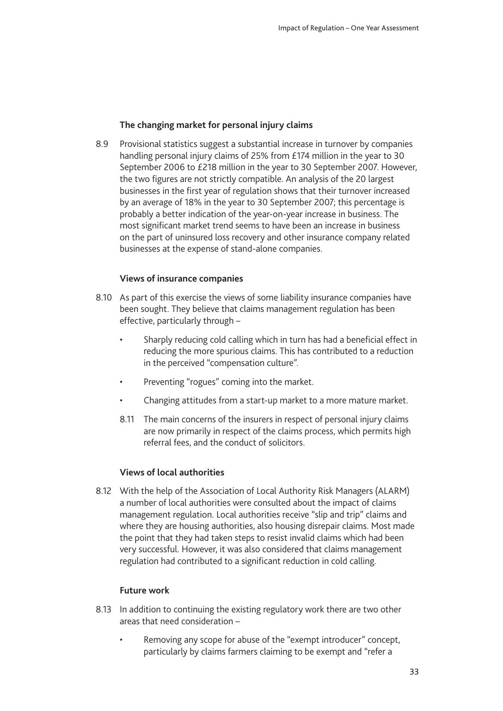### **The changing market for personal injury claims**

8.9 Provisional statistics suggest a substantial increase in turnover by companies handling personal injury claims of 25% from £174 million in the year to 30 September 2006 to £218 million in the year to 30 September 2007. However, the two figures are not strictly compatible. An analysis of the 20 largest businesses in the first year of regulation shows that their turnover increased by an average of 18% in the year to 30 September 2007; this percentage is probably a better indication of the year-on-year increase in business. The most significant market trend seems to have been an increase in business on the part of uninsured loss recovery and other insurance company related businesses at the expense of stand-alone companies.

### **Views of insurance companies**

- 8.10 As part of this exercise the views of some liability insurance companies have been sought. They believe that claims management regulation has been effective, particularly through –
	- Sharply reducing cold calling which in turn has had a beneficial effect in reducing the more spurious claims. This has contributed to a reduction in the perceived "compensation culture".
	- Preventing "rogues" coming into the market.
	- Changing attitudes from a start-up market to a more mature market.
	- 8.11 The main concerns of the insurers in respect of personal injury claims are now primarily in respect of the claims process, which permits high referral fees, and the conduct of solicitors.

### **Views of local authorities**

8.12 With the help of the Association of Local Authority Risk Managers (ALARM) a number of local authorities were consulted about the impact of claims management regulation. Local authorities receive "slip and trip" claims and where they are housing authorities, also housing disrepair claims. Most made the point that they had taken steps to resist invalid claims which had been very successful. However, it was also considered that claims management regulation had contributed to a significant reduction in cold calling.

### **Future work**

- 8.13 In addition to continuing the existing regulatory work there are two other areas that need consideration –
	- Removing any scope for abuse of the "exempt introducer" concept, particularly by claims farmers claiming to be exempt and "refer a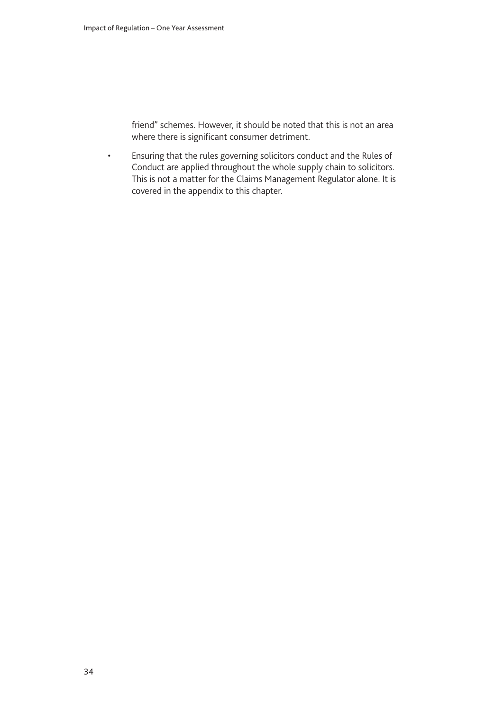friend" schemes. However, it should be noted that this is not an area where there is significant consumer detriment.

• Ensuring that the rules governing solicitors conduct and the Rules of Conduct are applied throughout the whole supply chain to solicitors. This is not a matter for the Claims Management Regulator alone. It is covered in the appendix to this chapter.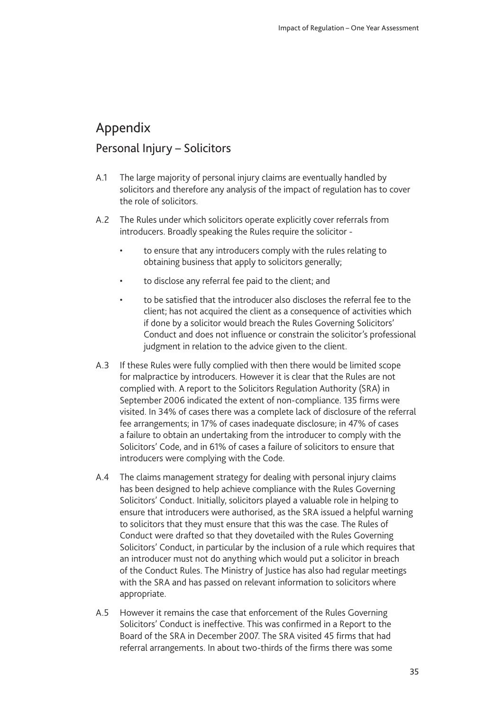# <span id="page-34-0"></span>Appendix

# Personal Injury - Solicitors

- A.1 The large majority of personal injury claims are eventually handled by solicitors and therefore any analysis of the impact of regulation has to cover the role of solicitors.
- A.2 The Rules under which solicitors operate explicitly cover referrals from introducers. Broadly speaking the Rules require the solicitor -
	- to ensure that any introducers comply with the rules relating to obtaining business that apply to solicitors generally;
	- to disclose any referral fee paid to the client; and
	- to be satisfied that the introducer also discloses the referral fee to the client; has not acquired the client as a consequence of activities which if done by a solicitor would breach the Rules Governing Solicitors' Conduct and does not influence or constrain the solicitor's professional judgment in relation to the advice given to the client.
- A.3 If these Rules were fully complied with then there would be limited scope for malpractice by introducers. However it is clear that the Rules are not complied with. A report to the Solicitors Regulation Authority (SRA) in September 2006 indicated the extent of non-compliance. 135 firms were visited. In 34% of cases there was a complete lack of disclosure of the referral fee arrangements; in 17% of cases inadequate disclosure; in 47% of cases a failure to obtain an undertaking from the introducer to comply with the Solicitors' Code, and in 61% of cases a failure of solicitors to ensure that introducers were complying with the Code.
- A.4 The claims management strategy for dealing with personal injury claims has been designed to help achieve compliance with the Rules Governing Solicitors' Conduct. Initially, solicitors played a valuable role in helping to ensure that introducers were authorised, as the SRA issued a helpful warning to solicitors that they must ensure that this was the case. The Rules of Conduct were drafted so that they dovetailed with the Rules Governing Solicitors' Conduct, in particular by the inclusion of a rule which requires that an introducer must not do anything which would put a solicitor in breach of the Conduct Rules. The Ministry of Justice has also had regular meetings with the SRA and has passed on relevant information to solicitors where appropriate.
- A.5 However it remains the case that enforcement of the Rules Governing Solicitors' Conduct is ineffective. This was confirmed in a Report to the Board of the SRA in December 2007. The SRA visited 45 firms that had referral arrangements. In about two-thirds of the firms there was some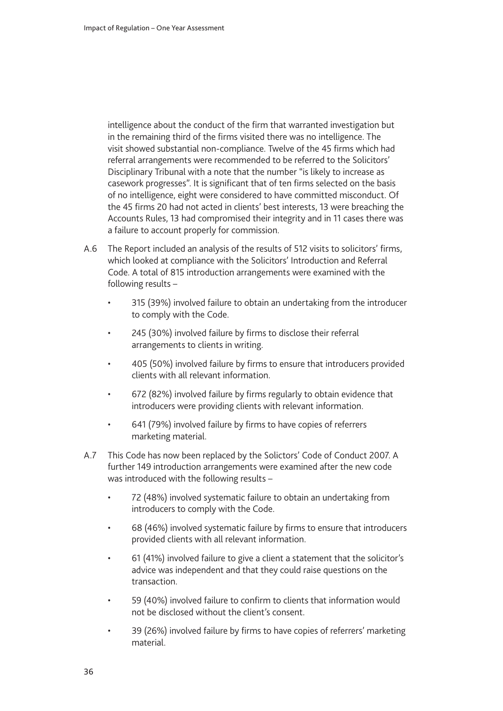intelligence about the conduct of the firm that warranted investigation but in the remaining third of the firms visited there was no intelligence. The visit showed substantial non-compliance. Twelve of the 45 firms which had referral arrangements were recommended to be referred to the Solicitors' Disciplinary Tribunal with a note that the number "is likely to increase as casework progresses". It is significant that of ten firms selected on the basis of no intelligence, eight were considered to have committed misconduct. Of the 45 firms 20 had not acted in clients' best interests, 13 were breaching the Accounts Rules, 13 had compromised their integrity and in 11 cases there was a failure to account properly for commission.

- A.6 The Report included an analysis of the results of 512 visits to solicitors' firms, which looked at compliance with the Solicitors' Introduction and Referral Code. A total of 815 introduction arrangements were examined with the following results –
	- 315 (39%) involved failure to obtain an undertaking from the introducer to comply with the Code.
	- 245 (30%) involved failure by firms to disclose their referral arrangements to clients in writing.
	- 405 (50%) involved failure by firms to ensure that introducers provided clients with all relevant information.
	- 672 (82%) involved failure by firms regularly to obtain evidence that introducers were providing clients with relevant information.
	- 641 (79%) involved failure by firms to have copies of referrers marketing material.
- A.7 This Code has now been replaced by the Solictors' Code of Conduct 2007. A further 149 introduction arrangements were examined after the new code was introduced with the following results –
	- 72 (48%) involved systematic failure to obtain an undertaking from introducers to comply with the Code.
	- 68 (46%) involved systematic failure by firms to ensure that introducers provided clients with all relevant information.
	- 61 (41%) involved failure to give a client a statement that the solicitor's advice was independent and that they could raise questions on the transaction.
	- 59 (40%) involved failure to confirm to clients that information would not be disclosed without the client's consent.
	- 39 (26%) involved failure by firms to have copies of referrers' marketing material.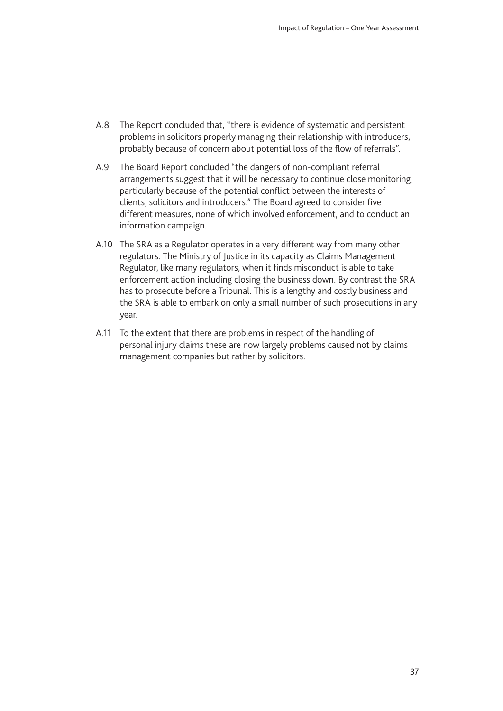- A.8 The Report concluded that, "there is evidence of systematic and persistent problems in solicitors properly managing their relationship with introducers, probably because of concern about potential loss of the flow of referrals".
- A.9 The Board Report concluded "the dangers of non-compliant referral arrangements suggest that it will be necessary to continue close monitoring, particularly because of the potential conflict between the interests of clients, solicitors and introducers." The Board agreed to consider five different measures, none of which involved enforcement, and to conduct an information campaign.
- A.10 The SRA as a Regulator operates in a very different way from many other regulators. The Ministry of Justice in its capacity as Claims Management Regulator, like many regulators, when it finds misconduct is able to take enforcement action including closing the business down. By contrast the SRA has to prosecute before a Tribunal. This is a lengthy and costly business and the SRA is able to embark on only a small number of such prosecutions in any year.
- A.11 To the extent that there are problems in respect of the handling of personal injury claims these are now largely problems caused not by claims management companies but rather by solicitors.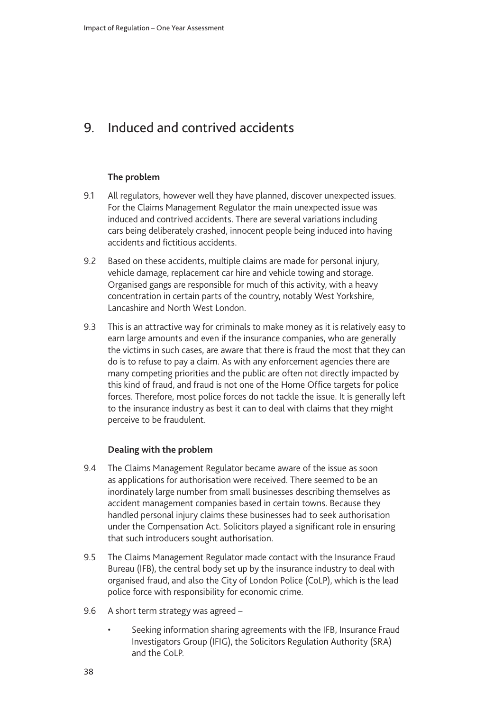# <span id="page-37-0"></span>9. Induced and contrived accidents

### **The problem**

- 9.1 All regulators, however well they have planned, discover unexpected issues. For the Claims Management Regulator the main unexpected issue was induced and contrived accidents. There are several variations including cars being deliberately crashed, innocent people being induced into having accidents and fictitious accidents.
- 9.2 Based on these accidents, multiple claims are made for personal injury, vehicle damage, replacement car hire and vehicle towing and storage. Organised gangs are responsible for much of this activity, with a heavy concentration in certain parts of the country, notably West Yorkshire, Lancashire and North West London.
- 9.3 This is an attractive way for criminals to make money as it is relatively easy to earn large amounts and even if the insurance companies, who are generally the victims in such cases, are aware that there is fraud the most that they can do is to refuse to pay a claim. As with any enforcement agencies there are many competing priorities and the public are often not directly impacted by this kind of fraud, and fraud is not one of the Home Office targets for police forces. Therefore, most police forces do not tackle the issue. It is generally left to the insurance industry as best it can to deal with claims that they might perceive to be fraudulent.

### **Dealing with the problem**

- 9.4 The Claims Management Regulator became aware of the issue as soon as applications for authorisation were received. There seemed to be an inordinately large number from small businesses describing themselves as accident management companies based in certain towns. Because they handled personal injury claims these businesses had to seek authorisation under the Compensation Act. Solicitors played a significant role in ensuring that such introducers sought authorisation.
- 9.5 The Claims Management Regulator made contact with the Insurance Fraud Bureau (IFB), the central body set up by the insurance industry to deal with organised fraud, and also the City of London Police (CoLP), which is the lead police force with responsibility for economic crime.
- 9.6 A short term strategy was agreed
	- Seeking information sharing agreements with the IFB, Insurance Fraud Investigators Group (IFIG), the Solicitors Regulation Authority (SRA) and the CoLP.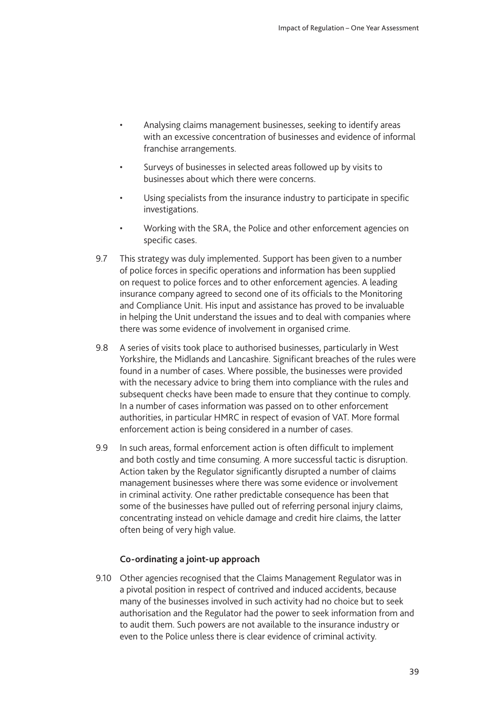- Analysing claims management businesses, seeking to identify areas with an excessive concentration of businesses and evidence of informal franchise arrangements.
- Surveys of businesses in selected areas followed up by visits to businesses about which there were concerns.
- Using specialists from the insurance industry to participate in specific investigations.
- Working with the SRA, the Police and other enforcement agencies on specific cases.
- 9.7 This strategy was duly implemented. Support has been given to a number of police forces in specific operations and information has been supplied on request to police forces and to other enforcement agencies. A leading insurance company agreed to second one of its officials to the Monitoring and Compliance Unit. His input and assistance has proved to be invaluable in helping the Unit understand the issues and to deal with companies where there was some evidence of involvement in organised crime.
- 9.8 A series of visits took place to authorised businesses, particularly in West Yorkshire, the Midlands and Lancashire. Significant breaches of the rules were found in a number of cases. Where possible, the businesses were provided with the necessary advice to bring them into compliance with the rules and subsequent checks have been made to ensure that they continue to comply. In a number of cases information was passed on to other enforcement authorities, in particular HMRC in respect of evasion of VAT. More formal enforcement action is being considered in a number of cases.
- 9.9 In such areas, formal enforcement action is often difficult to implement and both costly and time consuming. A more successful tactic is disruption. Action taken by the Regulator significantly disrupted a number of claims management businesses where there was some evidence or involvement in criminal activity. One rather predictable consequence has been that some of the businesses have pulled out of referring personal injury claims, concentrating instead on vehicle damage and credit hire claims, the latter often being of very high value.

#### **Co-ordinating a joint-up approach**

9.10 Other agencies recognised that the Claims Management Regulator was in a pivotal position in respect of contrived and induced accidents, because many of the businesses involved in such activity had no choice but to seek authorisation and the Regulator had the power to seek information from and to audit them. Such powers are not available to the insurance industry or even to the Police unless there is clear evidence of criminal activity.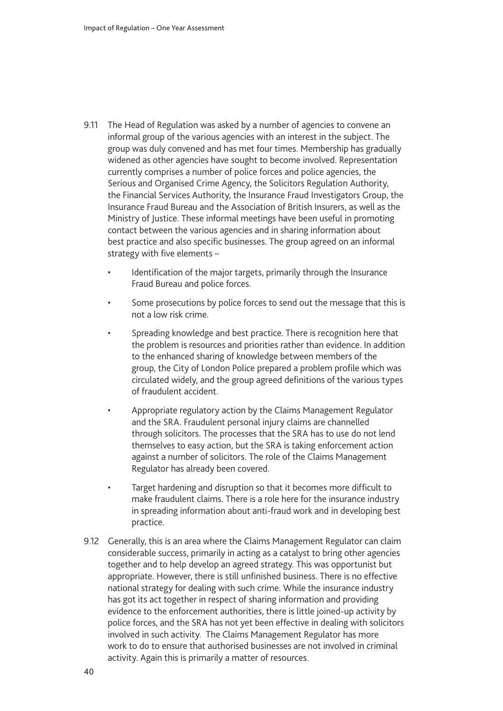- 9.11 The Head of Regulation was asked by a number of agencies to convene an informal group of the various agencies with an interest in the subject. The group was duly convened and has met four times. Membership has gradually widened as other agencies have sought to become involved. Representation currently comprises a number of police forces and police agencies, the Serious and Organised Crime Agency, the Solicitors Regulation Authority, the Financial Services Authority, the Insurance Fraud Investigators Group, the Insurance Fraud Bureau and the Association of British Insurers, as well as the Ministry of Justice. These informal meetings have been useful in promoting contact between the various agencies and in sharing information about best practice and also specific businesses. The group agreed on an informal strategy with five elements –
	- Identification of the major targets, primarily through the Insurance Fraud Bureau and police forces.
	- Some prosecutions by police forces to send out the message that this is not a low risk crime.
	- Spreading knowledge and best practice. There is recognition here that the problem is resources and priorities rather than evidence. In addition to the enhanced sharing of knowledge between members of the group, the City of London Police prepared a problem profile which was circulated widely, and the group agreed definitions of the various types of fraudulent accident.
	- Appropriate regulatory action by the Claims Management Regulator and the SRA. Fraudulent personal injury claims are channelled through solicitors. The processes that the SRA has to use do not lend themselves to easy action, but the SRA is taking enforcement action against a number of solicitors. The role of the Claims Management Regulator has already been covered.
	- Target hardening and disruption so that it becomes more difficult to make fraudulent claims. There is a role here for the insurance industry in spreading information about anti-fraud work and in developing best practice.
- 9.12 Generally, this is an area where the Claims Management Regulator can claim considerable success, primarily in acting as a catalyst to bring other agencies together and to help develop an agreed strategy. This was opportunist but appropriate. However, there is still unfinished business. There is no effective national strategy for dealing with such crime. While the insurance industry has got its act together in respect of sharing information and providing evidence to the enforcement authorities, there is little joined-up activity by police forces, and the SRA has not yet been effective in dealing with solicitors involved in such activity. The Claims Management Regulator has more work to do to ensure that authorised businesses are not involved in criminal activity. Again this is primarily a matter of resources.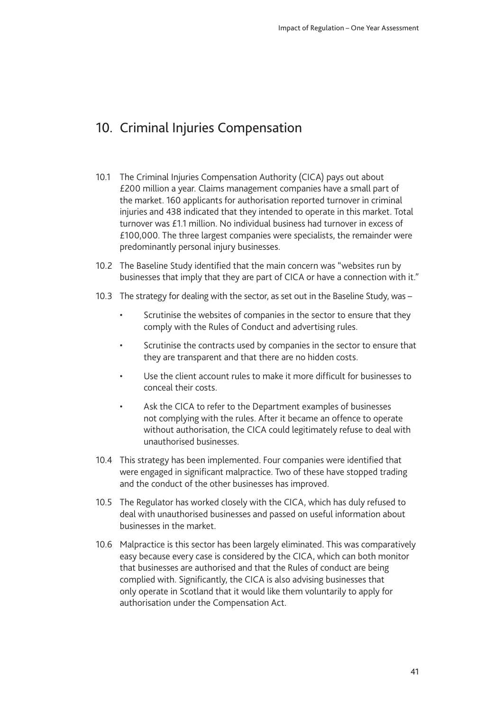# <span id="page-40-0"></span>10. Criminal Injuries Compensation

- 10.1 The Criminal Injuries Compensation Authority (CICA) pays out about £200 million a year. Claims management companies have a small part of the market. 160 applicants for authorisation reported turnover in criminal injuries and 438 indicated that they intended to operate in this market. Total turnover was £1.1 million. No individual business had turnover in excess of £100,000. The three largest companies were specialists, the remainder were predominantly personal injury businesses.
- 10.2 The Baseline Study identified that the main concern was "websites run by businesses that imply that they are part of CICA or have a connection with it."
- 10.3 The strategy for dealing with the sector, as set out in the Baseline Study, was
	- Scrutinise the websites of companies in the sector to ensure that they comply with the Rules of Conduct and advertising rules.
	- Scrutinise the contracts used by companies in the sector to ensure that they are transparent and that there are no hidden costs.
	- Use the client account rules to make it more difficult for businesses to conceal their costs.
	- Ask the CICA to refer to the Department examples of businesses not complying with the rules. After it became an offence to operate without authorisation, the CICA could legitimately refuse to deal with unauthorised businesses.
- 10.4 This strategy has been implemented. Four companies were identified that were engaged in significant malpractice. Two of these have stopped trading and the conduct of the other businesses has improved.
- 10.5 The Regulator has worked closely with the CICA, which has duly refused to deal with unauthorised businesses and passed on useful information about businesses in the market.
- 10.6 Malpractice is this sector has been largely eliminated. This was comparatively easy because every case is considered by the CICA, which can both monitor that businesses are authorised and that the Rules of conduct are being complied with. Significantly, the CICA is also advising businesses that only operate in Scotland that it would like them voluntarily to apply for authorisation under the Compensation Act.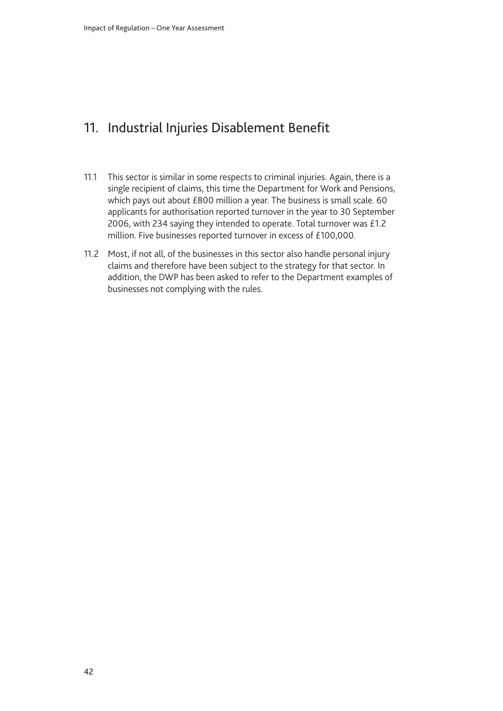# <span id="page-41-0"></span>11. Industrial Injuries Disablement Benefit

- 11.1 This sector is similar in some respects to criminal injuries. Again, there is a single recipient of claims, this time the Department for Work and Pensions, which pays out about £800 million a year. The business is small scale. 60 applicants for authorisation reported turnover in the year to 30 September 2006, with 234 saying they intended to operate. Total turnover was £1.2 million. Five businesses reported turnover in excess of £100,000.
- 11.2 Most, if not all, of the businesses in this sector also handle personal injury claims and therefore have been subject to the strategy for that sector. In addition, the DWP has been asked to refer to the Department examples of businesses not complying with the rules.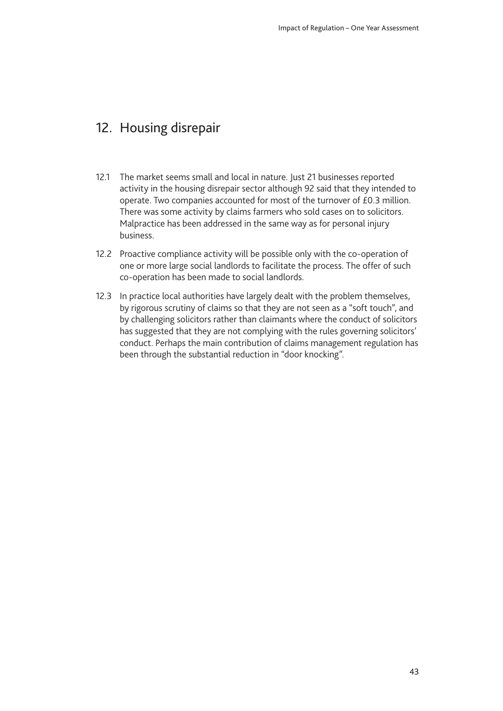# <span id="page-42-0"></span>12. Housing disrepair

- 12.1 The market seems small and local in nature. Just 21 businesses reported activity in the housing disrepair sector although 92 said that they intended to operate. Two companies accounted for most of the turnover of £0.3 million. There was some activity by claims farmers who sold cases on to solicitors. Malpractice has been addressed in the same way as for personal injury business.
- 12.2 Proactive compliance activity will be possible only with the co-operation of one or more large social landlords to facilitate the process. The offer of such co-operation has been made to social landlords.
- 12.3 In practice local authorities have largely dealt with the problem themselves, by rigorous scrutiny of claims so that they are not seen as a "soft touch", and by challenging solicitors rather than claimants where the conduct of solicitors has suggested that they are not complying with the rules governing solicitors' conduct. Perhaps the main contribution of claims management regulation has been through the substantial reduction in "door knocking".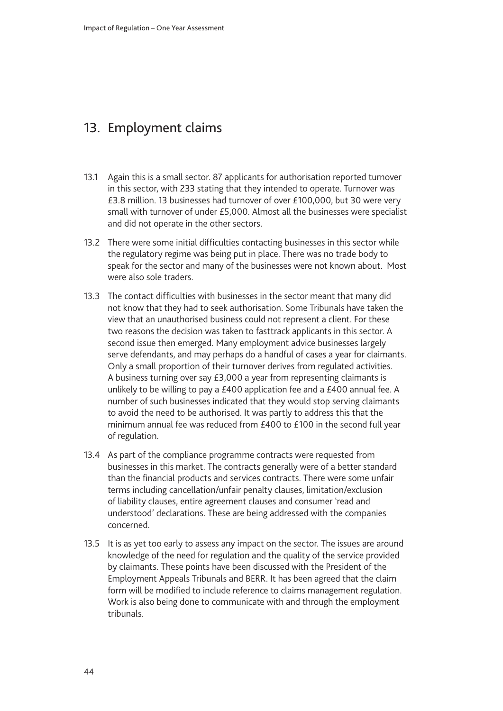# <span id="page-43-0"></span>13. Employment claims

- 13.1 Again this is a small sector. 87 applicants for authorisation reported turnover in this sector, with 233 stating that they intended to operate. Turnover was £3.8 million. 13 businesses had turnover of over £100,000, but 30 were very small with turnover of under £5,000. Almost all the businesses were specialist and did not operate in the other sectors.
- 13.2 There were some initial difficulties contacting businesses in this sector while the regulatory regime was being put in place. There was no trade body to speak for the sector and many of the businesses were not known about. Most were also sole traders.
- 13.3 The contact difficulties with businesses in the sector meant that many did not know that they had to seek authorisation. Some Tribunals have taken the view that an unauthorised business could not represent a client. For these two reasons the decision was taken to fasttrack applicants in this sector. A second issue then emerged. Many employment advice businesses largely serve defendants, and may perhaps do a handful of cases a year for claimants. Only a small proportion of their turnover derives from regulated activities. A business turning over say £3,000 a year from representing claimants is unlikely to be willing to pay a £400 application fee and a £400 annual fee. A number of such businesses indicated that they would stop serving claimants to avoid the need to be authorised. It was partly to address this that the minimum annual fee was reduced from £400 to £100 in the second full year of regulation.
- 13.4 As part of the compliance programme contracts were requested from businesses in this market. The contracts generally were of a better standard than the financial products and services contracts. There were some unfair terms including cancellation/unfair penalty clauses, limitation/exclusion of liability clauses, entire agreement clauses and consumer 'read and understood' declarations. These are being addressed with the companies concerned.
- 13.5 It is as yet too early to assess any impact on the sector. The issues are around knowledge of the need for regulation and the quality of the service provided by claimants. These points have been discussed with the President of the Employment Appeals Tribunals and BERR. It has been agreed that the claim form will be modified to include reference to claims management regulation. Work is also being done to communicate with and through the employment tribunals.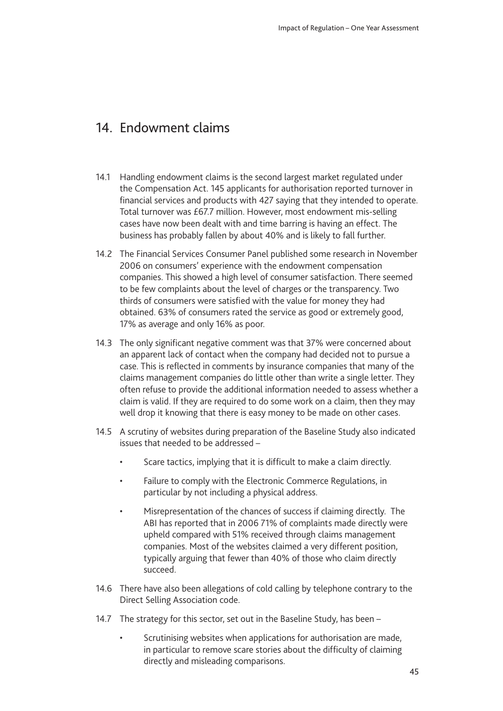# <span id="page-44-0"></span>14 **Endowment claims**

- 14.1 Handling endowment claims is the second largest market regulated under the Compensation Act. 145 applicants for authorisation reported turnover in financial services and products with 427 saying that they intended to operate. Total turnover was £67.7 million. However, most endowment mis-selling cases have now been dealt with and time barring is having an effect. The business has probably fallen by about 40% and is likely to fall further.
- 14.2 The Financial Services Consumer Panel published some research in November 2006 on consumers' experience with the endowment compensation companies. This showed a high level of consumer satisfaction. There seemed to be few complaints about the level of charges or the transparency. Two thirds of consumers were satisfied with the value for money they had obtained. 63% of consumers rated the service as good or extremely good, 17% as average and only 16% as poor.
- 14.3 The only significant negative comment was that 37% were concerned about an apparent lack of contact when the company had decided not to pursue a case. This is reflected in comments by insurance companies that many of the claims management companies do little other than write a single letter. They often refuse to provide the additional information needed to assess whether a claim is valid. If they are required to do some work on a claim, then they may well drop it knowing that there is easy money to be made on other cases.
- 14.5 A scrutiny of websites during preparation of the Baseline Study also indicated issues that needed to be addressed –
	- Scare tactics, implying that it is difficult to make a claim directly.
	- Failure to comply with the Electronic Commerce Regulations, in particular by not including a physical address.
	- Misrepresentation of the chances of success if claiming directly. The ABI has reported that in 2006 71% of complaints made directly were upheld compared with 51% received through claims management companies. Most of the websites claimed a very different position, typically arguing that fewer than 40% of those who claim directly succeed.
- 14.6 There have also been allegations of cold calling by telephone contrary to the Direct Selling Association code.
- 14.7 The strategy for this sector, set out in the Baseline Study, has been
	- Scrutinising websites when applications for authorisation are made, in particular to remove scare stories about the difficulty of claiming directly and misleading comparisons.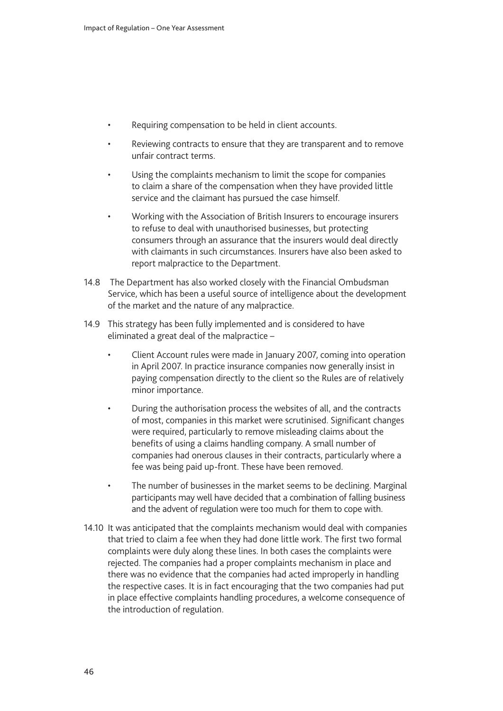- Requiring compensation to be held in client accounts.
- Reviewing contracts to ensure that they are transparent and to remove unfair contract terms.
- Using the complaints mechanism to limit the scope for companies to claim a share of the compensation when they have provided little service and the claimant has pursued the case himself.
- Working with the Association of British Insurers to encourage insurers to refuse to deal with unauthorised businesses, but protecting consumers through an assurance that the insurers would deal directly with claimants in such circumstances. Insurers have also been asked to report malpractice to the Department.
- 14.8 The Department has also worked closely with the Financial Ombudsman Service, which has been a useful source of intelligence about the development of the market and the nature of any malpractice.
- 14.9 This strategy has been fully implemented and is considered to have eliminated a great deal of the malpractice –
	- Client Account rules were made in January 2007, coming into operation in April 2007. In practice insurance companies now generally insist in paying compensation directly to the client so the Rules are of relatively minor importance.
	- During the authorisation process the websites of all, and the contracts of most, companies in this market were scrutinised. Significant changes were required, particularly to remove misleading claims about the benefits of using a claims handling company. A small number of companies had onerous clauses in their contracts, particularly where a fee was being paid up-front. These have been removed.
	- The number of businesses in the market seems to be declining. Marginal participants may well have decided that a combination of falling business and the advent of regulation were too much for them to cope with.
- 14.10 It was anticipated that the complaints mechanism would deal with companies that tried to claim a fee when they had done little work. The first two formal complaints were duly along these lines. In both cases the complaints were rejected. The companies had a proper complaints mechanism in place and there was no evidence that the companies had acted improperly in handling the respective cases. It is in fact encouraging that the two companies had put in place effective complaints handling procedures, a welcome consequence of the introduction of regulation.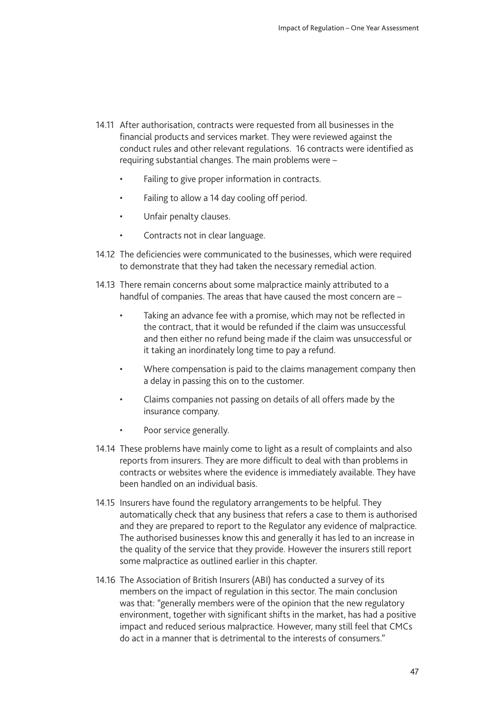- 14.11 After authorisation, contracts were requested from all businesses in the financial products and services market. They were reviewed against the conduct rules and other relevant regulations. 16 contracts were identified as requiring substantial changes. The main problems were –
	- Failing to give proper information in contracts.
	- Failing to allow a 14 day cooling off period.
	- Unfair penalty clauses.
	- Contracts not in clear language.
- 14.12 The deficiencies were communicated to the businesses, which were required to demonstrate that they had taken the necessary remedial action.
- 14.13 There remain concerns about some malpractice mainly attributed to a handful of companies. The areas that have caused the most concern are –
	- Taking an advance fee with a promise, which may not be reflected in the contract, that it would be refunded if the claim was unsuccessful and then either no refund being made if the claim was unsuccessful or it taking an inordinately long time to pay a refund.
	- Where compensation is paid to the claims management company then a delay in passing this on to the customer.
	- Claims companies not passing on details of all offers made by the insurance company.
	- Poor service generally.
- 14.14 These problems have mainly come to light as a result of complaints and also reports from insurers. They are more difficult to deal with than problems in contracts or websites where the evidence is immediately available. They have been handled on an individual basis.
- 14.15 Insurers have found the regulatory arrangements to be helpful. They automatically check that any business that refers a case to them is authorised and they are prepared to report to the Regulator any evidence of malpractice. The authorised businesses know this and generally it has led to an increase in the quality of the service that they provide. However the insurers still report some malpractice as outlined earlier in this chapter.
- 14.16 The Association of British Insurers (ABI) has conducted a survey of its members on the impact of regulation in this sector. The main conclusion was that: "generally members were of the opinion that the new regulatory environment, together with significant shifts in the market, has had a positive impact and reduced serious malpractice. However, many still feel that CMCs do act in a manner that is detrimental to the interests of consumers."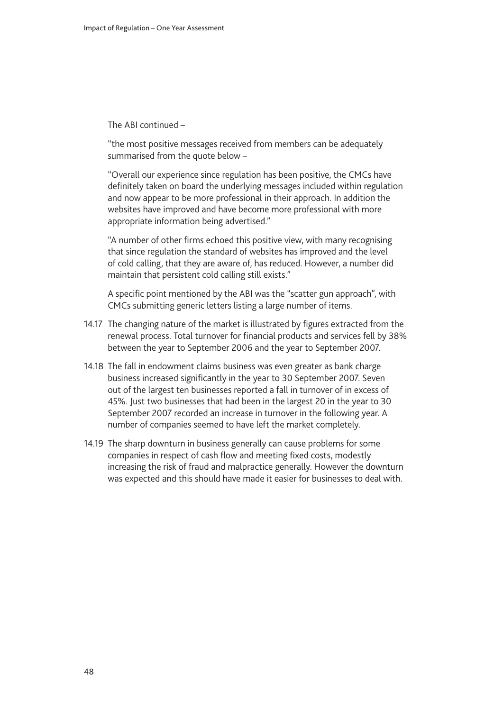The ABI continued –

"the most positive messages received from members can be adequately summarised from the quote below –

"Overall our experience since regulation has been positive, the CMCs have definitely taken on board the underlying messages included within regulation and now appear to be more professional in their approach. In addition the websites have improved and have become more professional with more appropriate information being advertised."

"A number of other firms echoed this positive view, with many recognising that since regulation the standard of websites has improved and the level of cold calling, that they are aware of, has reduced. However, a number did maintain that persistent cold calling still exists."

A specific point mentioned by the ABI was the "scatter gun approach", with CMCs submitting generic letters listing a large number of items.

- 14.17 The changing nature of the market is illustrated by figures extracted from the renewal process. Total turnover for financial products and services fell by 38% between the year to September 2006 and the year to September 2007.
- 14.18 The fall in endowment claims business was even greater as bank charge business increased significantly in the year to 30 September 2007. Seven out of the largest ten businesses reported a fall in turnover of in excess of 45%. Just two businesses that had been in the largest 20 in the year to 30 September 2007 recorded an increase in turnover in the following year. A number of companies seemed to have left the market completely.
- 14.19 The sharp downturn in business generally can cause problems for some companies in respect of cash flow and meeting fixed costs, modestly increasing the risk of fraud and malpractice generally. However the downturn was expected and this should have made it easier for businesses to deal with.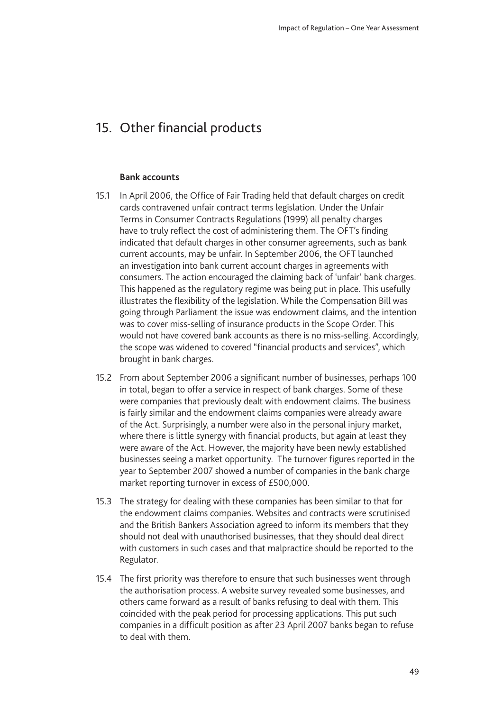# <span id="page-48-0"></span>15. Other financial products

#### **Bank accounts**

- 15.1 In April 2006, the Office of Fair Trading held that default charges on credit cards contravened unfair contract terms legislation. Under the Unfair Terms in Consumer Contracts Regulations (1999) all penalty charges have to truly reflect the cost of administering them. The OFT's finding indicated that default charges in other consumer agreements, such as bank current accounts, may be unfair. In September 2006, the OFT launched an investigation into bank current account charges in agreements with consumers. The action encouraged the claiming back of 'unfair' bank charges. This happened as the regulatory regime was being put in place. This usefully illustrates the flexibility of the legislation. While the Compensation Bill was going through Parliament the issue was endowment claims, and the intention was to cover miss-selling of insurance products in the Scope Order. This would not have covered bank accounts as there is no miss-selling. Accordingly, the scope was widened to covered "financial products and services", which brought in bank charges.
- 15.2 From about September 2006 a significant number of businesses, perhaps 100 in total, began to offer a service in respect of bank charges. Some of these were companies that previously dealt with endowment claims. The business is fairly similar and the endowment claims companies were already aware of the Act. Surprisingly, a number were also in the personal injury market, where there is little synergy with financial products, but again at least they were aware of the Act. However, the majority have been newly established businesses seeing a market opportunity. The turnover figures reported in the year to September 2007 showed a number of companies in the bank charge market reporting turnover in excess of £500,000.
- 15.3 The strategy for dealing with these companies has been similar to that for the endowment claims companies. Websites and contracts were scrutinised and the British Bankers Association agreed to inform its members that they should not deal with unauthorised businesses, that they should deal direct with customers in such cases and that malpractice should be reported to the Regulator.
- 15.4 The first priority was therefore to ensure that such businesses went through the authorisation process. A website survey revealed some businesses, and others came forward as a result of banks refusing to deal with them. This coincided with the peak period for processing applications. This put such companies in a difficult position as after 23 April 2007 banks began to refuse to deal with them.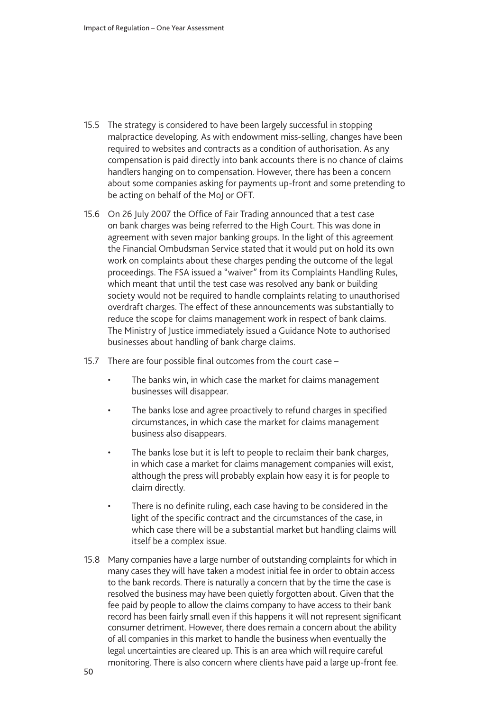- 15.5 The strategy is considered to have been largely successful in stopping malpractice developing. As with endowment miss-selling, changes have been required to websites and contracts as a condition of authorisation. As any compensation is paid directly into bank accounts there is no chance of claims handlers hanging on to compensation. However, there has been a concern about some companies asking for payments up-front and some pretending to be acting on behalf of the MoJ or OFT.
- 15.6 On 26 July 2007 the Office of Fair Trading announced that a test case on bank charges was being referred to the High Court. This was done in agreement with seven major banking groups. In the light of this agreement the Financial Ombudsman Service stated that it would put on hold its own work on complaints about these charges pending the outcome of the legal proceedings. The FSA issued a "waiver" from its Complaints Handling Rules, which meant that until the test case was resolved any bank or building society would not be required to handle complaints relating to unauthorised overdraft charges. The effect of these announcements was substantially to reduce the scope for claims management work in respect of bank claims. The Ministry of Justice immediately issued a Guidance Note to authorised businesses about handling of bank charge claims.
- 15.7 There are four possible final outcomes from the court case
	- The banks win, in which case the market for claims management businesses will disappear.
	- The banks lose and agree proactively to refund charges in specified circumstances, in which case the market for claims management business also disappears.
	- The banks lose but it is left to people to reclaim their bank charges, in which case a market for claims management companies will exist, although the press will probably explain how easy it is for people to claim directly.
	- There is no definite ruling, each case having to be considered in the light of the specific contract and the circumstances of the case, in which case there will be a substantial market but handling claims will itself be a complex issue.
- 15.8 Many companies have a large number of outstanding complaints for which in many cases they will have taken a modest initial fee in order to obtain access to the bank records. There is naturally a concern that by the time the case is resolved the business may have been quietly forgotten about. Given that the fee paid by people to allow the claims company to have access to their bank record has been fairly small even if this happens it will not represent significant consumer detriment. However, there does remain a concern about the ability of all companies in this market to handle the business when eventually the legal uncertainties are cleared up. This is an area which will require careful monitoring. There is also concern where clients have paid a large up-front fee.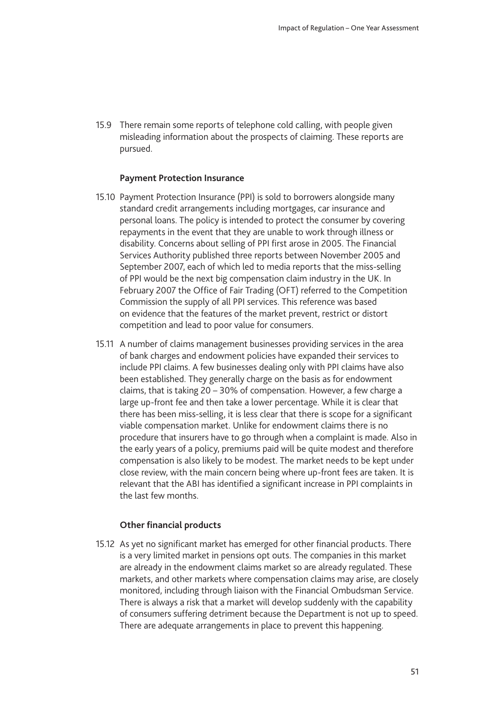15.9 There remain some reports of telephone cold calling, with people given misleading information about the prospects of claiming. These reports are pursued.

#### **Payment Protection Insurance**

- 15.10 Payment Protection Insurance (PPI) is sold to borrowers alongside many standard credit arrangements including mortgages, car insurance and personal loans. The policy is intended to protect the consumer by covering repayments in the event that they are unable to work through illness or disability. Concerns about selling of PPI first arose in 2005. The Financial Services Authority published three reports between November 2005 and September 2007, each of which led to media reports that the miss-selling of PPI would be the next big compensation claim industry in the UK. In February 2007 the Office of Fair Trading (OFT) referred to the Competition Commission the supply of all PPI services. This reference was based on evidence that the features of the market prevent, restrict or distort competition and lead to poor value for consumers.
- 15.11 A number of claims management businesses providing services in the area of bank charges and endowment policies have expanded their services to include PPI claims. A few businesses dealing only with PPI claims have also been established. They generally charge on the basis as for endowment claims, that is taking 20 – 30% of compensation. However, a few charge a large up-front fee and then take a lower percentage. While it is clear that there has been miss-selling, it is less clear that there is scope for a significant viable compensation market. Unlike for endowment claims there is no procedure that insurers have to go through when a complaint is made. Also in the early years of a policy, premiums paid will be quite modest and therefore compensation is also likely to be modest. The market needs to be kept under close review, with the main concern being where up-front fees are taken. It is relevant that the ABI has identified a significant increase in PPI complaints in the last few months.

#### **Other financial products**

15.12 As yet no significant market has emerged for other financial products. There is a very limited market in pensions opt outs. The companies in this market are already in the endowment claims market so are already regulated. These markets, and other markets where compensation claims may arise, are closely monitored, including through liaison with the Financial Ombudsman Service. There is always a risk that a market will develop suddenly with the capability of consumers suffering detriment because the Department is not up to speed. There are adequate arrangements in place to prevent this happening.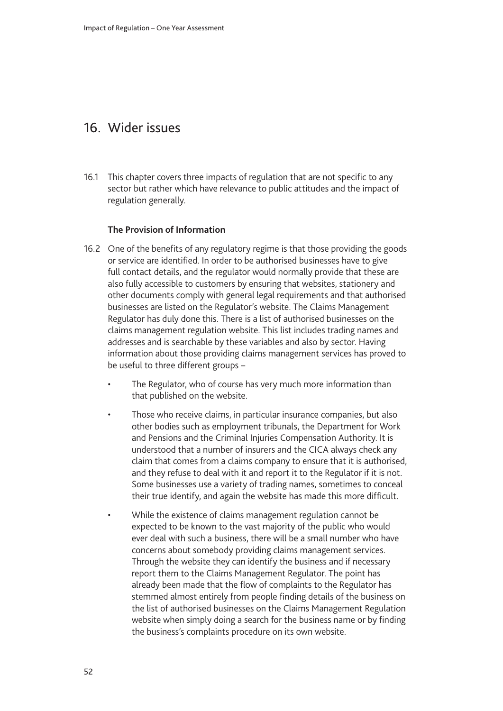# <span id="page-51-0"></span>16. Wider issues

16.1 This chapter covers three impacts of regulation that are not specific to any sector but rather which have relevance to public attitudes and the impact of regulation generally.

### **The Provision of Information**

- 16.2 One of the benefits of any regulatory regime is that those providing the goods or service are identified. In order to be authorised businesses have to give full contact details, and the regulator would normally provide that these are also fully accessible to customers by ensuring that websites, stationery and other documents comply with general legal requirements and that authorised businesses are listed on the Regulator's website. The Claims Management Regulator has duly done this. There is a list of authorised businesses on the claims management regulation website. This list includes trading names and addresses and is searchable by these variables and also by sector. Having information about those providing claims management services has proved to be useful to three different groups –
	- The Regulator, who of course has very much more information than that published on the website.
	- Those who receive claims, in particular insurance companies, but also other bodies such as employment tribunals, the Department for Work and Pensions and the Criminal Injuries Compensation Authority. It is understood that a number of insurers and the CICA always check any claim that comes from a claims company to ensure that it is authorised, and they refuse to deal with it and report it to the Regulator if it is not. Some businesses use a variety of trading names, sometimes to conceal their true identify, and again the website has made this more difficult.
	- While the existence of claims management regulation cannot be expected to be known to the vast majority of the public who would ever deal with such a business, there will be a small number who have concerns about somebody providing claims management services. Through the website they can identify the business and if necessary report them to the Claims Management Regulator. The point has already been made that the flow of complaints to the Regulator has stemmed almost entirely from people finding details of the business on the list of authorised businesses on the Claims Management Regulation website when simply doing a search for the business name or by finding the business's complaints procedure on its own website.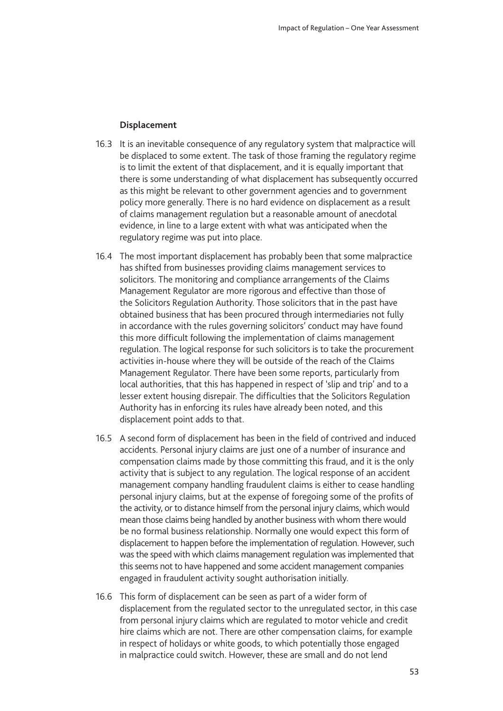#### **Displacement**

- 16.3 It is an inevitable consequence of any regulatory system that malpractice will be displaced to some extent. The task of those framing the regulatory regime is to limit the extent of that displacement, and it is equally important that there is some understanding of what displacement has subsequently occurred as this might be relevant to other government agencies and to government policy more generally. There is no hard evidence on displacement as a result of claims management regulation but a reasonable amount of anecdotal evidence, in line to a large extent with what was anticipated when the regulatory regime was put into place.
- 16.4 The most important displacement has probably been that some malpractice has shifted from businesses providing claims management services to solicitors. The monitoring and compliance arrangements of the Claims Management Regulator are more rigorous and effective than those of the Solicitors Regulation Authority. Those solicitors that in the past have obtained business that has been procured through intermediaries not fully in accordance with the rules governing solicitors' conduct may have found this more difficult following the implementation of claims management regulation. The logical response for such solicitors is to take the procurement activities in-house where they will be outside of the reach of the Claims Management Regulator. There have been some reports, particularly from local authorities, that this has happened in respect of 'slip and trip' and to a lesser extent housing disrepair. The difficulties that the Solicitors Regulation Authority has in enforcing its rules have already been noted, and this displacement point adds to that.
- 16.5 A second form of displacement has been in the field of contrived and induced accidents. Personal injury claims are just one of a number of insurance and compensation claims made by those committing this fraud, and it is the only activity that is subject to any regulation. The logical response of an accident management company handling fraudulent claims is either to cease handling personal injury claims, but at the expense of foregoing some of the profits of the activity, or to distance himself from the personal injury claims, which would mean those claims being handled by another business with whom there would be no formal business relationship. Normally one would expect this form of displacement to happen before the implementation of regulation. However, such was the speed with which claims management regulation was implemented that this seems not to have happened and some accident management companies engaged in fraudulent activity sought authorisation initially.
- 16.6 This form of displacement can be seen as part of a wider form of displacement from the regulated sector to the unregulated sector, in this case from personal injury claims which are regulated to motor vehicle and credit hire claims which are not. There are other compensation claims, for example in respect of holidays or white goods, to which potentially those engaged in malpractice could switch. However, these are small and do not lend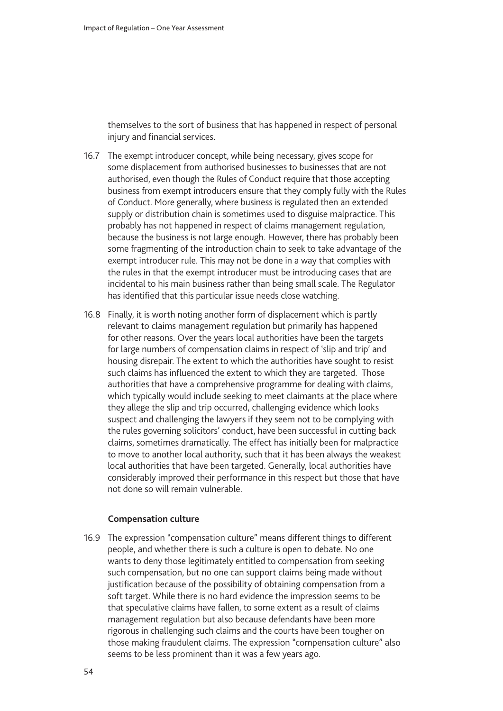themselves to the sort of business that has happened in respect of personal injury and financial services.

- 16.7 The exempt introducer concept, while being necessary, gives scope for some displacement from authorised businesses to businesses that are not authorised, even though the Rules of Conduct require that those accepting business from exempt introducers ensure that they comply fully with the Rules of Conduct. More generally, where business is regulated then an extended supply or distribution chain is sometimes used to disguise malpractice. This probably has not happened in respect of claims management regulation, because the business is not large enough. However, there has probably been some fragmenting of the introduction chain to seek to take advantage of the exempt introducer rule. This may not be done in a way that complies with the rules in that the exempt introducer must be introducing cases that are incidental to his main business rather than being small scale. The Regulator has identified that this particular issue needs close watching.
- 16.8 Finally, it is worth noting another form of displacement which is partly relevant to claims management regulation but primarily has happened for other reasons. Over the years local authorities have been the targets for large numbers of compensation claims in respect of 'slip and trip' and housing disrepair. The extent to which the authorities have sought to resist such claims has influenced the extent to which they are targeted. Those authorities that have a comprehensive programme for dealing with claims, which typically would include seeking to meet claimants at the place where they allege the slip and trip occurred, challenging evidence which looks suspect and challenging the lawyers if they seem not to be complying with the rules governing solicitors' conduct, have been successful in cutting back claims, sometimes dramatically. The effect has initially been for malpractice to move to another local authority, such that it has been always the weakest local authorities that have been targeted. Generally, local authorities have considerably improved their performance in this respect but those that have not done so will remain vulnerable.

#### **Compensation culture**

16.9 The expression "compensation culture" means different things to different people, and whether there is such a culture is open to debate. No one wants to deny those legitimately entitled to compensation from seeking such compensation, but no one can support claims being made without justification because of the possibility of obtaining compensation from a soft target. While there is no hard evidence the impression seems to be that speculative claims have fallen, to some extent as a result of claims management regulation but also because defendants have been more rigorous in challenging such claims and the courts have been tougher on those making fraudulent claims. The expression "compensation culture" also seems to be less prominent than it was a few years ago.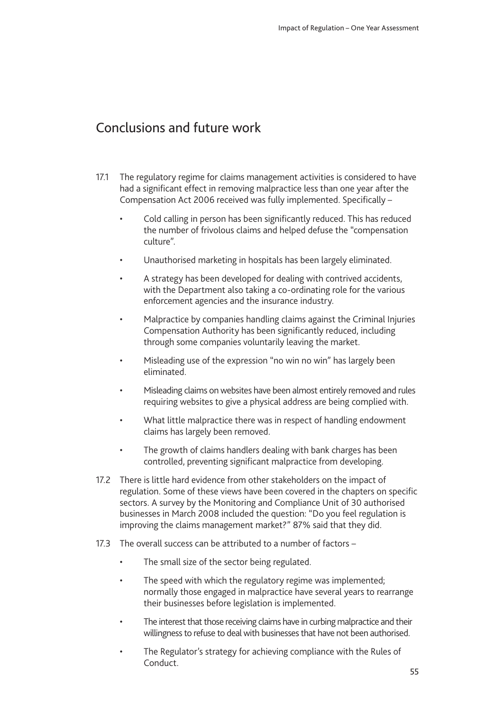# <span id="page-54-0"></span>Conclusions and future work

- 17.1 The regulatory regime for claims management activities is considered to have had a significant effect in removing malpractice less than one year after the Compensation Act 2006 received was fully implemented. Specifically –
	- Cold calling in person has been significantly reduced. This has reduced the number of frivolous claims and helped defuse the "compensation culture".
	- Unauthorised marketing in hospitals has been largely eliminated.
	- A strategy has been developed for dealing with contrived accidents, with the Department also taking a co-ordinating role for the various enforcement agencies and the insurance industry.
	- Malpractice by companies handling claims against the Criminal Injuries Compensation Authority has been significantly reduced, including through some companies voluntarily leaving the market.
	- Misleading use of the expression "no win no win" has largely been eliminated.
	- Misleading claims on websites have been almost entirely removed and rules requiring websites to give a physical address are being complied with.
	- What little malpractice there was in respect of handling endowment claims has largely been removed.
	- The growth of claims handlers dealing with bank charges has been controlled, preventing significant malpractice from developing.
- 17.2 There is little hard evidence from other stakeholders on the impact of regulation. Some of these views have been covered in the chapters on specific sectors. A survey by the Monitoring and Compliance Unit of 30 authorised businesses in March 2008 included the question: "Do you feel regulation is improving the claims management market?" 87% said that they did.
- 17.3 The overall success can be attributed to a number of factors
	- The small size of the sector being regulated.
	- The speed with which the regulatory regime was implemented; normally those engaged in malpractice have several years to rearrange their businesses before legislation is implemented.
	- The interest that those receiving claims have in curbing malpractice and their willingness to refuse to deal with businesses that have not been authorised.
	- The Regulator's strategy for achieving compliance with the Rules of **Conduct**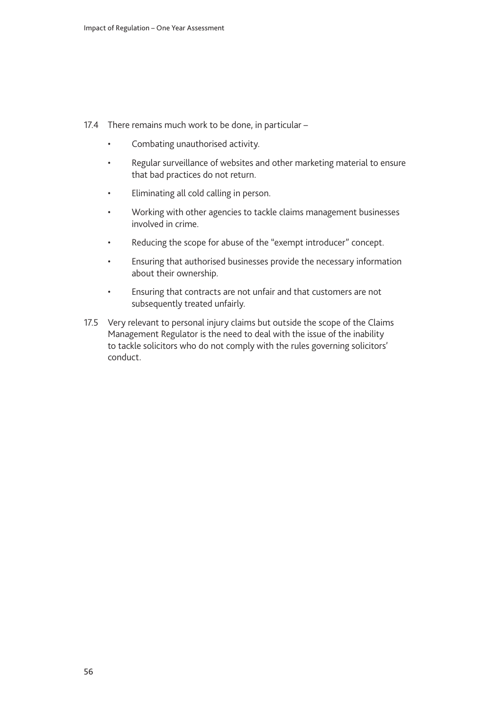- 17.4 There remains much work to be done, in particular
	- Combating unauthorised activity.
	- Regular surveillance of websites and other marketing material to ensure that bad practices do not return.
	- Eliminating all cold calling in person.
	- Working with other agencies to tackle claims management businesses involved in crime.
	- Reducing the scope for abuse of the "exempt introducer" concept.
	- Ensuring that authorised businesses provide the necessary information about their ownership.
	- Ensuring that contracts are not unfair and that customers are not subsequently treated unfairly.
- 17.5 Very relevant to personal injury claims but outside the scope of the Claims Management Regulator is the need to deal with the issue of the inability to tackle solicitors who do not comply with the rules governing solicitors' conduct.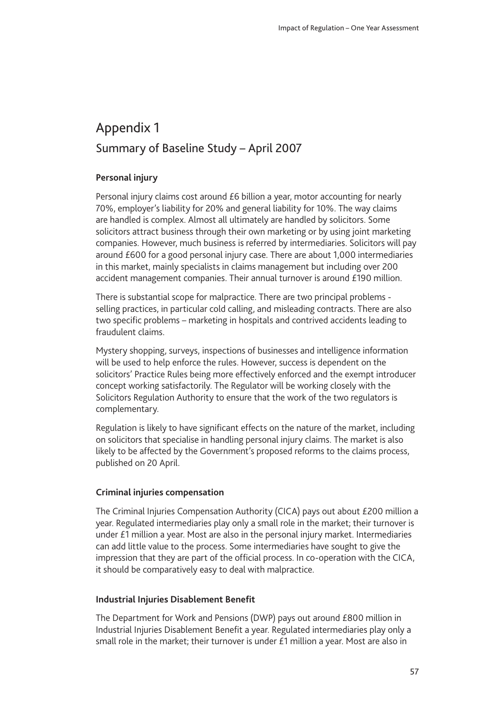# <span id="page-56-0"></span>Appendix 1 Summary of Baseline Study – April 2007

### **Personal injury**

Personal injury claims cost around £6 billion a year, motor accounting for nearly 70%, employer's liability for 20% and general liability for 10%. The way claims are handled is complex. Almost all ultimately are handled by solicitors. Some solicitors attract business through their own marketing or by using joint marketing companies. However, much business is referred by intermediaries. Solicitors will pay around £600 for a good personal injury case. There are about 1,000 intermediaries in this market, mainly specialists in claims management but including over 200 accident management companies. Their annual turnover is around £190 million.

There is substantial scope for malpractice. There are two principal problems selling practices, in particular cold calling, and misleading contracts. There are also two specific problems – marketing in hospitals and contrived accidents leading to fraudulent claims.

Mystery shopping, surveys, inspections of businesses and intelligence information will be used to help enforce the rules. However, success is dependent on the solicitors' Practice Rules being more effectively enforced and the exempt introducer concept working satisfactorily. The Regulator will be working closely with the Solicitors Regulation Authority to ensure that the work of the two regulators is complementary.

Regulation is likely to have significant effects on the nature of the market, including on solicitors that specialise in handling personal injury claims. The market is also likely to be affected by the Government's proposed reforms to the claims process, published on 20 April.

#### **Criminal injuries compensation**

The Criminal Injuries Compensation Authority (CICA) pays out about £200 million a year. Regulated intermediaries play only a small role in the market; their turnover is under £1 million a year. Most are also in the personal injury market. Intermediaries can add little value to the process. Some intermediaries have sought to give the impression that they are part of the official process. In co-operation with the CICA, it should be comparatively easy to deal with malpractice.

#### **Industrial Injuries Disablement Benefit**

The Department for Work and Pensions (DWP) pays out around £800 million in Industrial Injuries Disablement Benefit a year. Regulated intermediaries play only a small role in the market; their turnover is under £1 million a year. Most are also in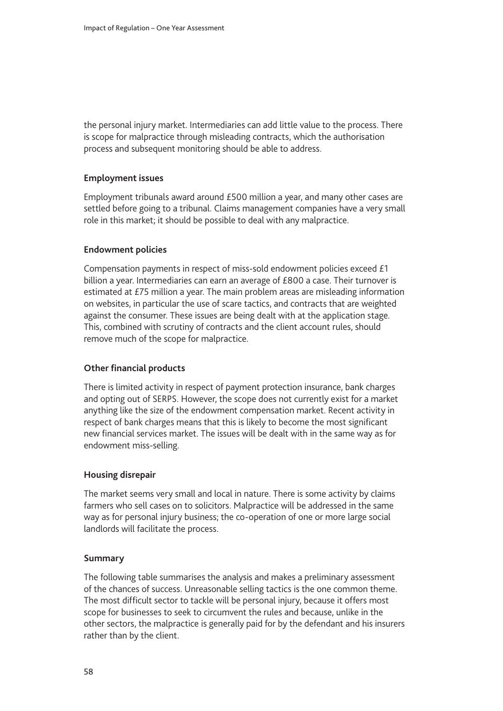the personal injury market. Intermediaries can add little value to the process. There is scope for malpractice through misleading contracts, which the authorisation process and subsequent monitoring should be able to address.

#### **Employment issues**

Employment tribunals award around £500 million a year, and many other cases are settled before going to a tribunal. Claims management companies have a very small role in this market; it should be possible to deal with any malpractice.

### **Endowment policies**

Compensation payments in respect of miss-sold endowment policies exceed £1 billion a year. Intermediaries can earn an average of £800 a case. Their turnover is estimated at £75 million a year. The main problem areas are misleading information on websites, in particular the use of scare tactics, and contracts that are weighted against the consumer. These issues are being dealt with at the application stage. This, combined with scrutiny of contracts and the client account rules, should remove much of the scope for malpractice.

### **Other financial products**

There is limited activity in respect of payment protection insurance, bank charges and opting out of SERPS. However, the scope does not currently exist for a market anything like the size of the endowment compensation market. Recent activity in respect of bank charges means that this is likely to become the most significant new financial services market. The issues will be dealt with in the same way as for endowment miss-selling.

#### **Housing disrepair**

The market seems very small and local in nature. There is some activity by claims farmers who sell cases on to solicitors. Malpractice will be addressed in the same way as for personal injury business; the co-operation of one or more large social landlords will facilitate the process.

#### **Summary**

The following table summarises the analysis and makes a preliminary assessment of the chances of success. Unreasonable selling tactics is the one common theme. The most difficult sector to tackle will be personal injury, because it offers most scope for businesses to seek to circumvent the rules and because, unlike in the other sectors, the malpractice is generally paid for by the defendant and his insurers rather than by the client.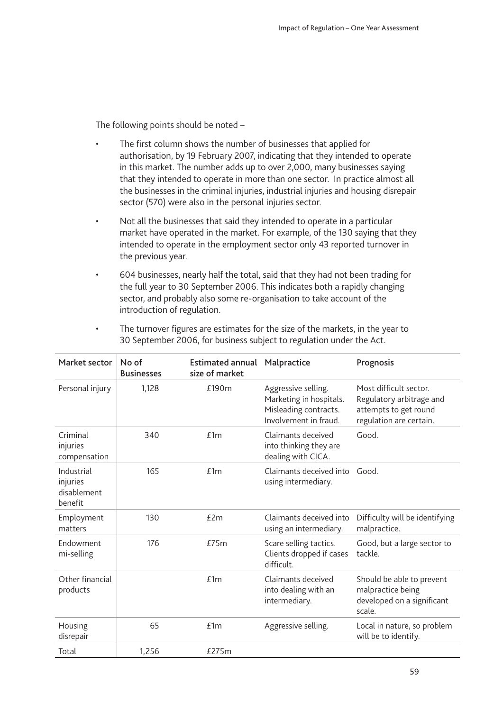The following points should be noted –

- The first column shows the number of businesses that applied for authorisation, by 19 February 2007, indicating that they intended to operate in this market. The number adds up to over 2,000, many businesses saying that they intended to operate in more than one sector. In practice almost all the businesses in the criminal injuries, industrial injuries and housing disrepair sector (570) were also in the personal injuries sector.
- Not all the businesses that said they intended to operate in a particular market have operated in the market. For example, of the 130 saying that they intended to operate in the employment sector only 43 reported turnover in the previous year.
- 604 businesses, nearly half the total, said that they had not been trading for the full year to 30 September 2006. This indicates both a rapidly changing sector, and probably also some re-organisation to take account of the introduction of regulation.

| Market sector                                    | No of<br><b>Businesses</b> | <b>Estimated annual Malpractice</b><br>size of market |                                                                                                  | Prognosis                                                                                              |
|--------------------------------------------------|----------------------------|-------------------------------------------------------|--------------------------------------------------------------------------------------------------|--------------------------------------------------------------------------------------------------------|
| Personal injury                                  | 1,128                      | £190m                                                 | Aggressive selling.<br>Marketing in hospitals.<br>Misleading contracts.<br>Involvement in fraud. | Most difficult sector.<br>Regulatory arbitrage and<br>attempts to get round<br>regulation are certain. |
| Criminal<br>injuries<br>compensation             | 340                        | f1m                                                   | Claimants deceived<br>into thinking they are<br>dealing with CICA.                               | Good.                                                                                                  |
| Industrial<br>injuries<br>disablement<br>benefit | 165                        | f1m                                                   | Claimants deceived into Good.<br>using intermediary.                                             |                                                                                                        |
| Employment<br>matters                            | 130                        | f2m                                                   | Claimants deceived into<br>using an intermediary.                                                | Difficulty will be identifying<br>malpractice.                                                         |
| <b>Fndowment</b><br>mi-selling                   | 176                        | f75m                                                  | Scare selling tactics.<br>Clients dropped if cases<br>difficult.                                 | Good, but a large sector to<br>tackle.                                                                 |
| Other financial<br>products                      |                            | £1m                                                   | Claimants deceived<br>into dealing with an<br>intermediary.                                      | Should be able to prevent<br>malpractice being<br>developed on a significant<br>scale.                 |
| Housing<br>disrepair                             | 65                         | £1m                                                   | Aggressive selling.                                                                              | Local in nature, so problem<br>will be to identify.                                                    |
| Total                                            | 1,256                      | £275m                                                 |                                                                                                  |                                                                                                        |

• The turnover figures are estimates for the size of the markets, in the year to 30 September 2006, for business subject to regulation under the Act.